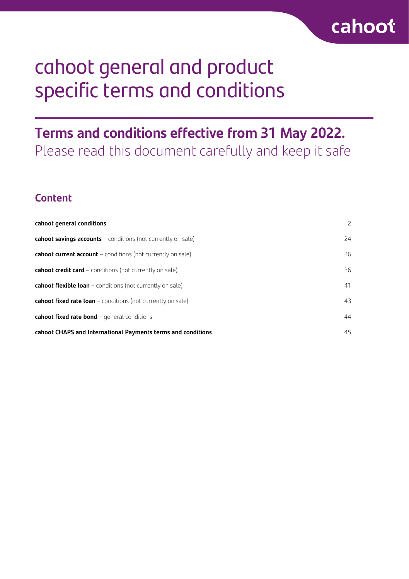# cahoot general and product specific terms and conditions

# **Terms and conditions effective from 31 May 2022.** Please read this document carefully and keep it safe

# **Content**

| cahoot general conditions                                           | $\overline{2}$ |
|---------------------------------------------------------------------|----------------|
| <b>cahoot savings accounts</b> - conditions (not currently on sale) | 24             |
| <b>cahoot current account</b> - conditions (not currently on sale)  | 26             |
| <b>cahoot credit card</b> - conditions (not currently on sale)      | 36             |
| <b>cahoot flexible loan</b> - conditions (not currently on sale)    | 41             |
| cahoot fixed rate loan - conditions (not currently on sale)         | 43             |
| cahoot fixed rate bond - general conditions                         | 44             |
| cahoot CHAPS and International Payments terms and conditions        | 45             |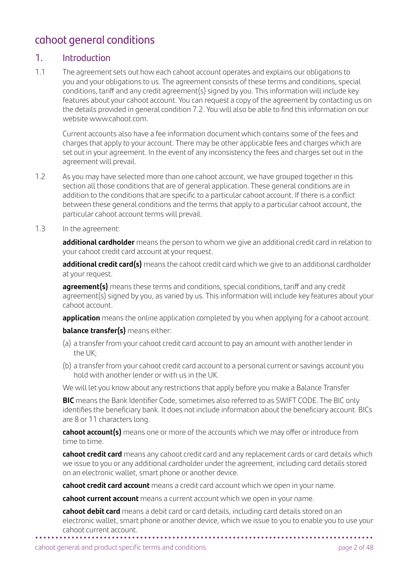# cahoot general conditions

# 1. Introduction

1.1 The agreement sets out how each cahoot account operates and explains our obligations to you and your obligations to us. The agreement consists of these terms and conditions, special conditions, tariff and any credit agreement(s) signed by you. This information will include key features about your cahoot account. You can request a copy of the agreement by contacting us on the details provided in general condition 7.2. You will also be able to find this information on our website [www.cahoot.com](http://www.cahoot.com)

 Current accounts also have a fee information document which contains some of the fees and charges that apply to your account. There may be other applicable fees and charges which are set out in your agreement. In the event of any inconsistency the fees and charges set out in the agreement will prevail.

- 1.2 As you may have selected more than one cahoot account, we have grouped together in this section all those conditions that are of general application. These general conditions are in addition to the conditions that are specific to a particular cahoot account. If there is a conflict between these general conditions and the terms that apply to a particular cahoot account, the particular cahoot account terms will prevail.
- 1.3 In the agreement:

**additional cardholder** means the person to whom we give an additional credit card in relation to your cahoot credit card account at your request.

 **additional credit card(s)** means the cahoot credit card which we give to an additional cardholder at your request.

 **agreement(s)** means these terms and conditions, special conditions, tariff and any credit agreement(s) signed by you, as varied by us. This information will include key features about your cahoot account.

**application** means the online application completed by you when applying for a cahoot account.

#### **balance transfer(s)** means either:

- (a) a transfer from your cahoot credit card account to pay an amount with another lender in the UK;
- (b) a transfer from your cahoot credit card account to a personal current or savings account you hold with another lender or with us in the UK.

We will let you know about any restrictions that apply before you make a Balance Transfer

**BIC** means the Bank Identifier Code, sometimes also referred to as SWIFT CODE. The BIC only identifies the beneficiary bank. It does not include information about the beneficiary account. BICs are 8 or 11 characters long.

 **cahoot account(s)** means one or more of the accounts which we may offer or introduce from time to time.

**cahoot credit card** means any cahoot credit card and any replacement cards or card details which we issue to you or any additional cardholder under the agreement, including card details stored on an electronic wallet, smart phone or another device.

**cahoot credit card account** means a credit card account which we open in your name.

**cahoot current account** means a current account which we open in your name.

**• • • • • • • • • • • • • • • • • • • • • • • • • • • • • • • • • • • • • • • • • • • • • • • • • • • • • • • • • • • • • • • • • • • • • • • • • • • • • • • • • • • • cahoot debit card** means a debit card or card details, including card details stored on an electronic wallet, smart phone or another device, which we issue to you to enable you to use your cahoot current account.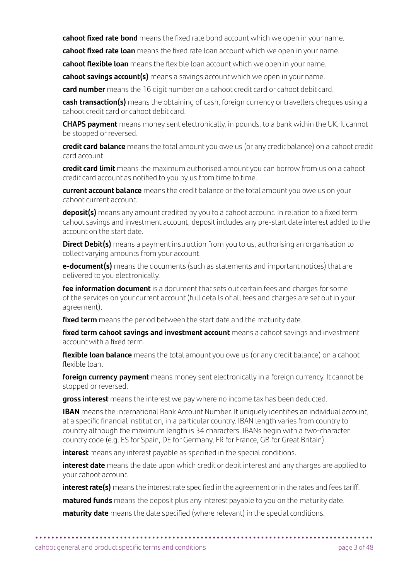**cahoot fixed rate bond** means the fixed rate bond account which we open in your name.

**cahoot fixed rate loan** means the fixed rate loan account which we open in your name.

**cahoot flexible loan** means the flexible loan account which we open in your name.

**cahoot savings account(s)** means a savings account which we open in your name.

**card number** means the 16 digit number on a cahoot credit card or cahoot debit card.

**cash transaction(s)** means the obtaining of cash, foreign currency or travellers cheques using a cahoot credit card or cahoot debit card.

**CHAPS payment** means money sent electronically, in pounds, to a bank within the UK. It cannot be stopped or reversed.

**credit card balance** means the total amount you owe us (or any credit balance) on a cahoot credit card account.

 **credit card limit** means the maximum authorised amount you can borrow from us on a cahoot credit card account as notified to you by us from time to time.

 **current account balance** means the credit balance or the total amount you owe us on your cahoot current account.

 **deposit(s)** means any amount credited by you to a cahoot account. In relation to a fixed term cahoot savings and investment account, deposit includes any pre-start date interest added to the account on the start date.

 **Direct Debit(s)** means a payment instruction from you to us, authorising an organisation to collect varying amounts from your account.

 **e-document(s)** means the documents (such as statements and important notices) that are delivered to you electronically.

 **fee information document** is a document that sets out certain fees and charges for some of the services on your current account (full details of all fees and charges are set out in your agreement).

**fixed term** means the period between the start date and the maturity date.

 **fixed term cahoot savings and investment account** means a cahoot savings and investment account with a fixed term.

 **flexible loan balance** means the total amount you owe us (or any credit balance) on a cahoot flexible loan.

**foreign currency payment** means money sent electronically in a foreign currency. It cannot be stopped or reversed.

**gross interest** means the interest we pay where no income tax has been deducted.

 **IBAN** means the International Bank Account Number. It uniquely identifies an individual account, at a specific financial institution, in a particular country. IBAN length varies from country to country although the maximum length is 34 characters. IBANs begin with a two-character country code (e.g. ES for Spain, DE for Germany, FR for France, GB for Great Britain).

**interest** means any interest payable as specified in the special conditions.

 **interest date** means the date upon which credit or debit interest and any charges are applied to your cahoot account.

**interest rate(s)** means the interest rate specified in the agreement or in the rates and fees tariff.

**matured funds** means the deposit plus any interest payable to you on the maturity date.

**• • • • • • • • • • • • • • • • • • • • • • • • • • • • • • • • • • • • • • • • • • • • • • • • • • • • • • • • • • • • • • • • • • • • • • • • • • • • • • • • • • • •** 

**maturity date** means the date specified (where relevant) in the special conditions.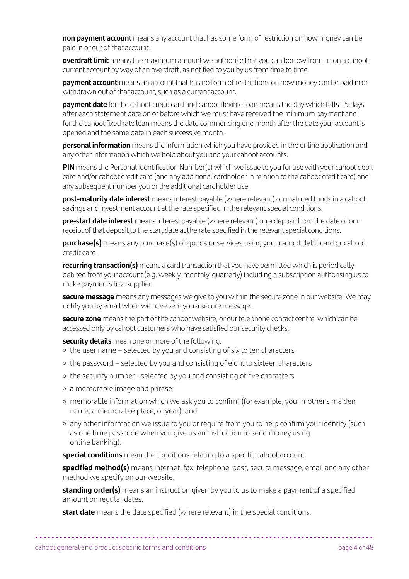**non payment account** means any account that has some form of restriction on how money can be paid in or out of that account.

 **overdraft limit** means the maximum amount we authorise that you can borrow from us on a cahoot current account by way of an overdraft, as notified to you by us from time to time.

**payment account** means an account that has no form of restrictions on how money can be paid in or withdrawn out of that account, such as a current account.

**payment date** for the cahoot credit card and cahoot flexible loan means the day which falls 15 days after each statement date on or before which we must have received the minimum payment and for the cahoot fixed rate loan means the date commencing one month after the date your account is opened and the same date in each successive month.

 **personal information** means the information which you have provided in the online application and any other information which we hold about you and your cahoot accounts.

 **PIN** means the Personal Identification Number(s) which we issue to you for use with your cahoot debit card and/or cahoot credit card (and any additional cardholder in relation to the cahoot credit card) and any subsequent number you or the additional cardholder use.

 **post-maturity date interest** means interest payable (where relevant) on matured funds in a cahoot savings and investment account at the rate specified in the relevant special conditions.

 **pre-start date interest** means interest payable (where relevant) on a deposit from the date of our receipt of that deposit to the start date at the rate specified in the relevant special conditions.

**purchase(s)** means any purchase(s) of goods or services using your cahoot debit card or cahoot credit card.

 **recurring transaction(s)** means a card transaction that you have permitted which is periodically debited from your account (e.g. weekly, monthly, quarterly) including a subscription authorising us to make payments to a supplier.

 **secure message** means any messages we give to you within the secure zone in our website. We may notify you by email when we have sent you a secure message.

 **secure zone** means the part of the cahoot website, or our telephone contact centre, which can be accessed only by cahoot customers who have satisfied our security checks.

**security details** mean one or more of the following:

- the user name selected by you and consisting of six to ten characters
- the password selected by you and consisting of eight to sixteen characters
- the security number selected by you and consisting of five characters
- a memorable image and phrase;
- memorable information which we ask you to confirm (for example, your mother's maiden name, a memorable place, or year); and
- any other information we issue to you or require from you to help confirm your identity (such as one time passcode when you give us an instruction to send money using online banking).

**special conditions** mean the conditions relating to a specific cahoot account.

 **specified method(s)** means internet, fax, telephone, post, secure message, email and any other method we specify on our website.

**standing order(s)** means an instruction given by you to us to make a payment of a specified amount on regular dates.

**• • • • • • • • • • • • • • • • • • • • • • • • • • • • • • • • • • • • • • • • • • • • • • • • • • • • • • • • • • • • • • • • • • • • • • • • • • • • • • • • • • • •** 

**start date** means the date specified (where relevant) in the special conditions.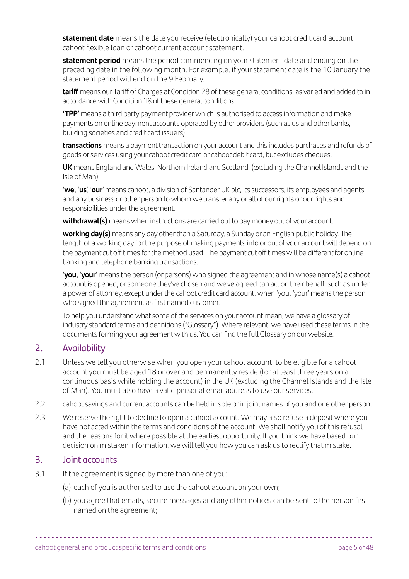**statement date** means the date you receive (electronically) your cahoot credit card account, cahoot flexible loan or cahoot current account statement.

 **statement period** means the period commencing on your statement date and ending on the preceding date in the following month. For example, if your statement date is the 10 January the statement period will end on the 9 February.

**tariff** means our Tariff of Charges at Condition 28 of these general conditions, as varied and added to in accordance with Condition 18 of these general conditions.

 **'TPP'** means a third party payment provider which is authorised to access information and make payments on online payment accounts operated by other providers (such as us and other banks, building societies and credit card issuers).

 **transactions** means a payment transaction on your account and this includes purchases and refunds of goods or services using your cahoot credit card or cahoot debit card, but excludes cheques.

 **UK** means England and Wales, Northern Ireland and Scotland, (excluding the Channel Islands and the Isle of Man).

 '**we**', '**us**', '**our**' means cahoot, a division of Santander UK plc, its successors, its employees and agents, and any business or other person to whom we transfer any or all of our rights or our rights and responsibilities under the agreement.

**withdrawal(s)** means when instructions are carried out to pay money out of your account.

 **working day(s)** means any day other than a Saturday, a Sunday or an English public holiday. The length of a working day for the purpose of making payments into or out of your account will depend on the payment cut off times for the method used. The payment cut off times will be different for online banking and telephone banking transactions.

 '**you**', '**your**' means the person (or persons) who signed the agreement and in whose name(s) a cahoot account is opened, or someone they've chosen and we've agreed can act on their behalf, such as under a power of attorney, except under the cahoot credit card account, when 'you', 'your' means the person who signed the agreement as first named customer.

 To help you understand what some of the services on your account mean, we have a glossary of industry standard terms and definitions ("Glossary"). Where relevant, we have used these terms in the documents forming your agreement with us. You can find the full Glossary on our website.

# 2. Availability

- 2.1 Unless we tell you otherwise when you open your cahoot account, to be eligible for a cahoot account you must be aged 18 or over and permanently reside (for at least three years on a continuous basis while holding the account) in the UK (excluding the Channel Islands and the Isle of Man). You must also have a valid personal email address to use our services.
- 2.2 cahoot savings and current accounts can be held in sole or in joint names of you and one other person.
- 2.3 We reserve the right to decline to open a cahoot account. We may also refuse a deposit where you have not acted within the terms and conditions of the account. We shall notify you of this refusal and the reasons for it where possible at the earliest opportunity. If you think we have based our decision on mistaken information, we will tell you how you can ask us to rectify that mistake.

# 3. Joint accounts

- 3.1 If the agreement is signed by more than one of you:
	- (a) each of you is authorised to use the cahoot account on your own;

**• • • • • • • • • • • • • • • • • • • • • • • • • • • • • • • • • • • • • • • • • • • • • • • • • • • • • • • • • • • • • • • • • • • • • • • • • • • • • • • • • • • •** 

(b) you agree that emails, secure messages and any other notices can be sent to the person first named on the agreement;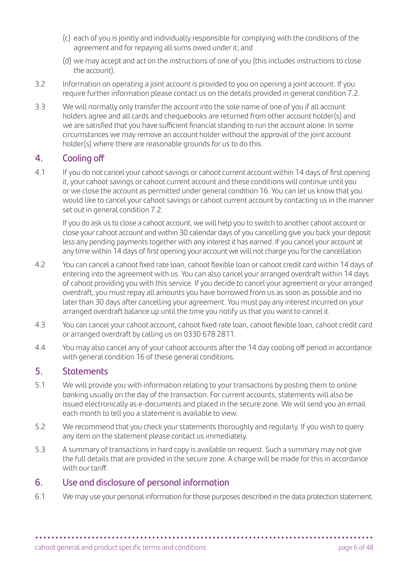- (c) each of you is jointly and individually responsible for complying with the conditions of the agreement and for repaying all sums owed under it; and
- (d) we may accept and act on the instructions of one of you (this includes instructions to close the account).
- 3.2 Information on operating a joint account is provided to you on opening a joint account. If you require further information please contact us on the details provided in general condition 7.2.
- 3.3 We will normally only transfer the account into the sole name of one of you if all account holders agree and all cards and chequebooks are returned from other account holder(s) and we are satisfied that you have sufficient financial standing to run the account alone. In some circumstances we may remove an account holder without the approval of the joint account holder(s) where there are reasonable grounds for us to do this.

# 4. Cooling off

4.1 If you do not cancel your cahoot savings or cahoot current account within 14 days of first opening it, your cahoot savings or cahoot current account and these conditions will continue until you or we close the account as permitted under general condition 16. You can let us know that you would like to cancel your cahoot savings or cahoot current account by contacting us in the manner set out in general condition 7.2.

 If you do ask us to close a cahoot account, we will help you to switch to another cahoot account or close your cahoot account and within 30 calendar days of you cancelling give you back your deposit less any pending payments together with any interest it has earned. If you cancel your account at any time within 14 days of first opening your account we will not charge you for the cancellation.

- 4.2 You can cancel a cahoot fixed rate loan, cahoot flexible loan or cahoot credit card within 14 days of entering into the agreement with us. You can also cancel your arranged overdraft within 14 days of cahoot providing you with this service. If you decide to cancel your agreement or your arranged overdraft, you must repay all amounts you have borrowed from us as soon as possible and no later than 30 days after cancelling your agreement. You must pay any interest incurred on your arranged overdraft balance up until the time you notify us that you want to cancel it.
- 4.3 You can cancel your cahoot account, cahoot fixed rate loan, cahoot flexible loan, cahoot credit card or arranged overdraft by calling us on 0330 678 2811.
- 4.4 You may also cancel any of your cahoot accounts after the 14 day cooling off period in accordance with general condition 16 of these general conditions.

# 5. Statements

- 5.1 We will provide you with information relating to your transactions by posting them to online banking usually on the day of the transaction. For current accounts, statements will also be issued electronically as e-documents and placed in the secure zone. We will send you an email each month to tell you a statement is available to view.
- 5.2 We recommend that you check your statements thoroughly and regularly. If you wish to query any item on the statement please contact us immediately.
- 5.3 A summary of transactions in hard copy is available on request. Such a summary may not give the full details that are provided in the secure zone. A charge will be made for this in accordance with our tariff.

# 6. Use and disclosure of personal information

6.1 We may use your personal information for those purposes described in the data protection statement.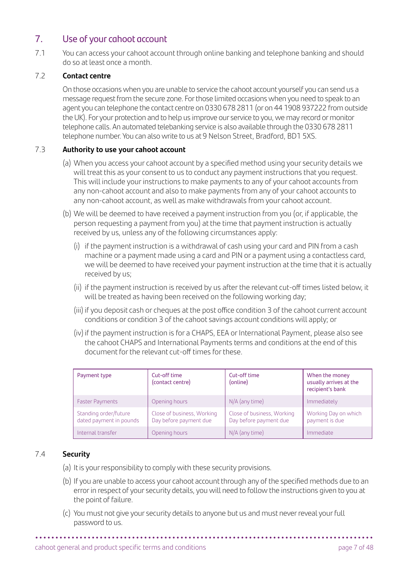# 7. Use of your cahoot account

7.1 You can access your cahoot account through online banking and telephone banking and should do so at least once a month.

#### 7.2 **Contact centre**

 On those occasions when you are unable to service the cahoot account yourself you can send us a message request from the secure zone. For those limited occasions when you need to speak to an agent you can telephone the contact centre on 0330 678 2811 (or on 44 1908 937222 from outside the UK). For your protection and to help us improve our service to you, we may record or monitor telephone calls. An automated telebanking service is also available through the 0330 678 2811 telephone number. You can also write to us at 9 Nelson Street, Bradford, BD1 5XS.

#### 7.3 **Authority to use your cahoot account**

- (a) When you access your cahoot account by a specified method using your security details we will treat this as your consent to us to conduct any payment instructions that you request. This will include your instructions to make payments to any of your cahoot accounts from any non-cahoot account and also to make payments from any of your cahoot accounts to any non-cahoot account, as well as make withdrawals from your cahoot account.
- (b) We will be deemed to have received a payment instruction from you (or, if applicable, the person requesting a payment from you) at the time that payment instruction is actually received by us, unless any of the following circumstances apply:
	- (i) if the payment instruction is a withdrawal of cash using your card and PIN from a cash machine or a payment made using a card and PIN or a payment using a contactless card, we will be deemed to have received your payment instruction at the time that it is actually received by us;
	- (ii) if the payment instruction is received by us after the relevant cut-off times listed below, it will be treated as having been received on the following working day;
	- (iii) if you deposit cash or cheques at the post office condition 3 of the cahoot current account conditions or condition 3 of the cahoot savings account conditions will apply; or
	- (iv) if the payment instruction is for a CHAPS, EEA or International Payment, please also see the cahoot CHAPS and International Payments terms and conditions at the end of this document for the relevant cut-off times for these.

| Payment type                                     | Cut-off time<br>(contact centre)                     | Cut-off time<br>(online)                             | When the money<br>usually arrives at the<br>recipient's bank |
|--------------------------------------------------|------------------------------------------------------|------------------------------------------------------|--------------------------------------------------------------|
| <b>Faster Payments</b>                           | Opening hours                                        | N/A (any time)                                       | Immediately                                                  |
| Standing order/future<br>dated payment in pounds | Close of business, Working<br>Day before payment due | Close of business, Working<br>Day before payment due | Working Day on which<br>payment is due                       |
| Internal transfer                                | Opening hours                                        | N/A (any time)                                       | Immediate                                                    |

#### 7.4 **Security**

- (a) It is your responsibility to comply with these security provisions.
- (b) If you are unable to access your cahoot account through any of the specified methods due to an error in respect of your security details, you will need to follow the instructions given to you at the point of failure.

**• • • • • • • • • • • • • • • • • • • • • • • • • • • • • • • • • • • • • • • • • • • • • • • • • • • • • • • • • • • • • • • • • • • • • • • • • • • • • • • • • • • •** 

(c) You must not give your security details to anyone but us and must never reveal your full password to us.

cahoot general and product specific terms and conditions page 7 of 48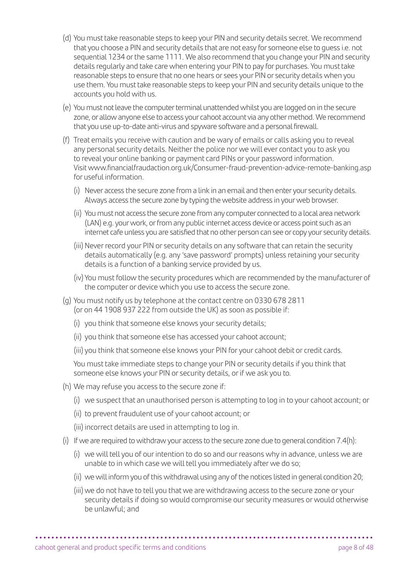- (d) You must take reasonable steps to keep your PIN and security details secret. We recommend that you choose a PIN and security details that are not easy for someone else to guess i.e. not sequential 1234 or the same 1111. We also recommend that you change your PIN and security details regularly and take care when entering your PIN to pay for purchases. You must take reasonable steps to ensure that no one hears or sees your PIN or security details when you use them. You must take reasonable steps to keep your PIN and security details unique to the accounts you hold with us.
- (e) You must not leave the computer terminal unattended whilst you are logged on in the secure zone, or allow anyone else to access your cahoot account via any other method. We recommend that you use up-to-date anti-virus and spyware software and a personal firewall.
- (f) Treat emails you receive with caution and be wary of emails or calls asking you to reveal any personal security details. Neither the police nor we will ever contact you to ask you to reveal your online banking or payment card PINs or your password information. Visit [www.financialfraudaction.org.uk/Consumer-fraud-prevention-advice-remote-banking.asp](http://www.financialfraudaction.org.uk/Consumer-fraud-prevention-advice-remote-banking.asp) for useful information.
	- (i) Never access the secure zone from a link in an email and then enter your security details. Always access the secure zone by typing the website address in your web browser.
	- (ii) You must not access the secure zone from any computer connected to a local area network (LAN) e.g. your work, or from any public internet access device or access point such as an internet cafe unless you are satisfied that no other person can see or copy your security details.
	- (iii) Never record your PIN or security details on any software that can retain the security details automatically (e.g. any 'save password' prompts) unless retaining your security details is a function of a banking service provided by us.
	- (iv) You must follow the security procedures which are recommended by the manufacturer of the computer or device which you use to access the secure zone.
- (g) You must notify us by telephone at the contact centre on 0330 678 2811 (or on 44 1908 937 222 from outside the UK) as soon as possible if:
	- (i) you think that someone else knows your security details;
	- (ii) you think that someone else has accessed your cahoot account;
	- (iii) you think that someone else knows your PIN for your cahoot debit or credit cards.

 You must take immediate steps to change your PIN or security details if you think that someone else knows your PIN or security details, or if we ask you to.

- (h) We may refuse you access to the secure zone if:
	- (i) we suspect that an unauthorised person is attempting to log in to your cahoot account; or
	- (ii) to prevent fraudulent use of your cahoot account; or
	- (iii) incorrect details are used in attempting to log in.
- (i) If we are required to withdraw your access to the secure zone due to general condition 7.4(h):
	- (i) we will tell you of our intention to do so and our reasons why in advance, unless we are unable to in which case we will tell you immediately after we do so;
	- (ii) we will inform you of this withdrawal using any of the notices listed in general condition 20;
	- (iii) we do not have to tell you that we are withdrawing access to the secure zone or your security details if doing so would compromise our security measures or would otherwise be unlawful; and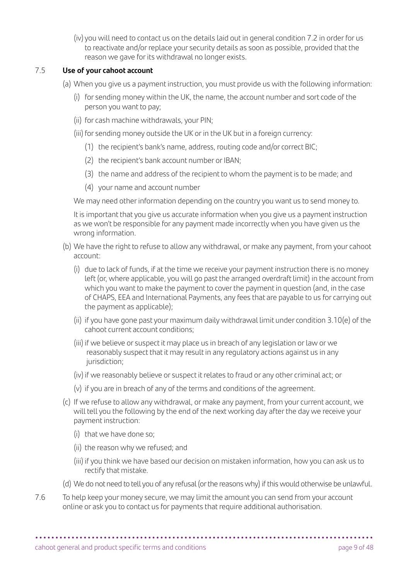(iv) you will need to contact us on the details laid out in general condition 7.2 in order for us to reactivate and/or replace your security details as soon as possible, provided that the reason we gave for its withdrawal no longer exists.

#### 7.5 **Use of your cahoot account**

- (a) When you give us a payment instruction, you must provide us with the following information:
	- (i) for sending money within the UK, the name, the account number and sort code of the person you want to pay;
	- (ii) for cash machine withdrawals, your PIN;
	- (iii) for sending money outside the UK or in the UK but in a foreign currency:
		- (1) the recipient's bank's name, address, routing code and/or correct BIC;
		- (2) the recipient's bank account number or IBAN;
		- (3) the name and address of the recipient to whom the payment is to be made; and
		- (4) your name and account number

We may need other information depending on the country you want us to send money to.

 It is important that you give us accurate information when you give us a payment instruction as we won't be responsible for any payment made incorrectly when you have given us the wrong information.

- (b) We have the right to refuse to allow any withdrawal, or make any payment, from your cahoot account:
	- (i) due to lack of funds, if at the time we receive your payment instruction there is no money left (or, where applicable, you will go past the arranged overdraft limit) in the account from which you want to make the payment to cover the payment in question (and, in the case of CHAPS, EEA and International Payments, any fees that are payable to us for carrying out the payment as applicable);
	- (ii) if you have gone past your maximum daily withdrawal limit under condition 3.10(e) of the cahoot current account conditions;
	- (iii) if we believe or suspect it may place us in breach of any legislation or law or we reasonably suspect that it may result in any regulatory actions against us in any jurisdiction:
	- (iv)if we reasonably believe or suspect it relates to fraud or any other criminal act; or
	- (v) if you are in breach of any of the terms and conditions of the agreement.
- (c) If we refuse to allow any withdrawal, or make any payment, from your current account, we will tell you the following by the end of the next working day after the day we receive your payment instruction:
	- (i) that we have done so;
	- (ii) the reason why we refused; and
	- (iii) if you think we have based our decision on mistaken information, how you can ask us to rectify that mistake.
- (d) We do not need to tell you of any refusal (or the reasons why) if this would otherwise be unlawful.
- 7.6 To help keep your money secure, we may limit the amount you can send from your account online or ask you to contact us for payments that require additional authorisation.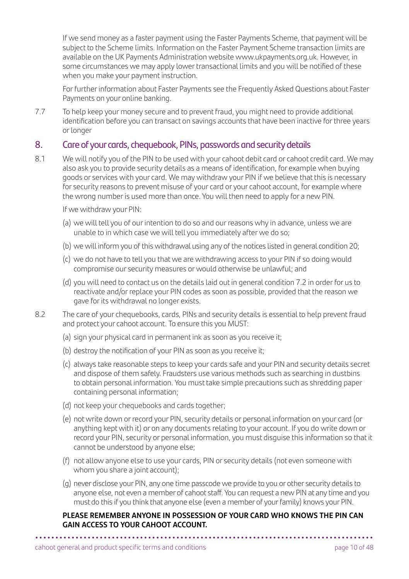If we send money as a faster payment using the Faster Payments Scheme, that payment will be subject to the Scheme limits. Information on the Faster Payment Scheme transaction limits are available on the UK Payments Administration website [www.ukpayments.org.uk](http://www.ukpayments.org.uk). However, in some circumstances we may apply lower transactional limits and you will be notified of these when you make your payment instruction.

 For further information about Faster Payments see the Frequently Asked Questions about Faster Payments on your online banking.

7.7 To help keep your money secure and to prevent fraud, you might need to provide additional identification before you can transact on savings accounts that have been inactive for three years or longer

# 8. Care of your cards, chequebook, PINs, passwords and security details

8.1 We will notify you of the PIN to be used with your cahoot debit card or cahoot credit card. We may also ask you to provide security details as a means of identification, for example when buying goods or services with your card. We may withdraw your PIN if we believe that this is necessary for security reasons to prevent misuse of your card or your cahoot account, for example where the wrong number is used more than once. You will then need to apply for a new PIN.

If we withdraw your PIN:

- (a) we will tell you of our intention to do so and our reasons why in advance, unless we are unable to in which case we will tell you immediately after we do so;
- (b) we will inform you of this withdrawal using any of the notices listed in general condition 20;
- (c) we do not have to tell you that we are withdrawing access to your PIN if so doing would compromise our security measures or would otherwise be unlawful; and
- (d) you will need to contact us on the details laid out in general condition 7.2 in order for us to reactivate and/or replace your PIN codes as soon as possible, provided that the reason we gave for its withdrawal no longer exists.
- 8.2 The care of your chequebooks, cards, PINs and security details is essential to help prevent fraud and protect your cahoot account. To ensure this you MUST:
	- (a) sign your physical card in permanent ink as soon as you receive it;
	- (b) destroy the notification of your PIN as soon as you receive it;
	- (c) always take reasonable steps to keep your cards safe and your PIN and security details secret and dispose of them safely. Fraudsters use various methods such as searching in dustbins to obtain personal information. You must take simple precautions such as shredding paper containing personal information;
	- (d) not keep your chequebooks and cards together;
	- (e) not write down or record your PIN, security details or personal information on your card (or anything kept with it) or on any documents relating to your account. If you do write down or record your PIN, security or personal information, you must disguise this information so that it cannot be understood by anyone else;
	- (f) not allow anyone else to use your cards, PIN or security details (not even someone with whom you share a joint account);
	- (g) never disclose your PIN, any one time passcode we provide to you or other security details to anyone else, not even a member of cahoot staff. You can request a new PIN at any time and you must do this if you think that anyone else (even a member of your family) knows your PIN.

#### **PLEASE REMEMBER ANYONE IN POSSESSION OF YOUR CARD WHO KNOWS THE PIN CAN GAIN ACCESS TO YOUR CAHOOT ACCOUNT.**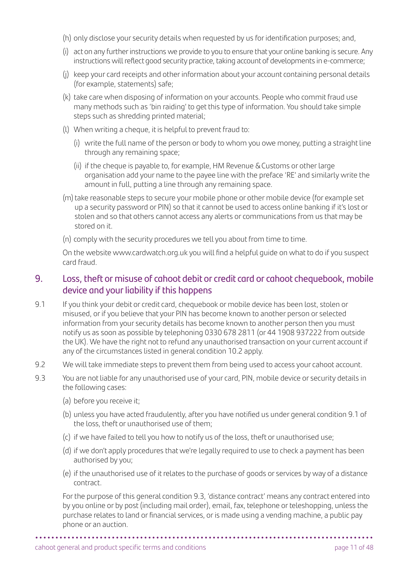- (h) only disclose your security details when requested by us for identification purposes; and,
- (i) act on any further instructions we provide to you to ensure that your online banking is secure. Any instructions will reflect good security practice, taking account of developments in e-commerce;
- (j) keep your card receipts and other information about your account containing personal details (for example, statements) safe;
- (k) take care when disposing of information on your accounts. People who commit fraud use many methods such as 'bin raiding' to get this type of information. You should take simple steps such as shredding printed material;
- (l) When writing a cheque, it is helpful to prevent fraud to:
	- (i) write the full name of the person or body to whom you owe money, putting a straight line through any remaining space;
	- (ii) if the cheque is payable to, for example, HM Revenue & Customs or other large organisation add your name to the payee line with the preface 'RE' and similarly write the amount in full, putting a line through any remaining space.
- (m) take reasonable steps to secure your mobile phone or other mobile device (for example set up a security password or PIN) so that it cannot be used to access online banking if it's lost or stolen and so that others cannot access any alerts or communications from us that may be stored on it.
- (n) comply with the security procedures we tell you about from time to time.

 On the website [www.cardwatch.org.uk](http://www.cardwatch.org.uk) you will find a helpful guide on what to do if you suspect card fraud.

# 9. Loss, theft or misuse of cahoot debit or credit card or cahoot chequebook, mobile device and your liability if this happens

- 9.1 If you think your debit or credit card, chequebook or mobile device has been lost, stolen or misused, or if you believe that your PIN has become known to another person or selected information from your security details has become known to another person then you must notify us as soon as possible by telephoning 0330 678 2811 (or 44 1908 937222 from outside the UK). We have the right not to refund any unauthorised transaction on your current account if any of the circumstances listed in general condition 10.2 apply.
- 9.2 We will take immediate steps to prevent them from being used to access your cahoot account.
- 9.3 You are not liable for any unauthorised use of your card, PIN, mobile device or security details in the following cases:
	- (a) before you receive it;
	- (b) unless you have acted fraudulently, after you have notified us under general condition 9.1 of the loss, theft or unauthorised use of them;
	- (c) if we have failed to tell you how to notify us of the loss, theft or unauthorised use;
	- (d) if we don't apply procedures that we're legally required to use to check a payment has been authorised by you;
	- (e) if the unauthorised use of it relates to the purchase of goods or services by way of a distance contract.

 For the purpose of this general condition 9.3, 'distance contract' means any contract entered into by you online or by post (including mail order), email, fax, telephone or teleshopping, unless the purchase relates to land or financial services, or is made using a vending machine, a public pay phone or an auction.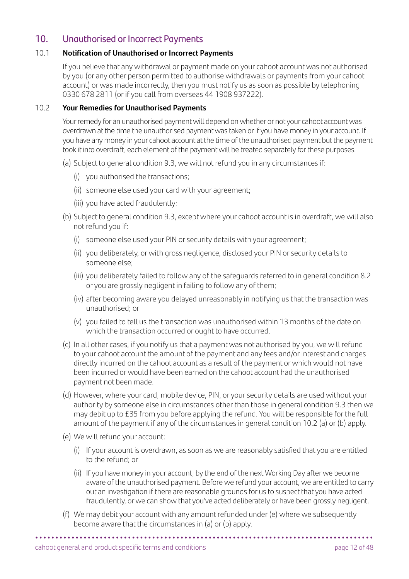# 10. Unauthorised or Incorrect Payments

#### 10.1 **Notification of Unauthorised or Incorrect Payments**

 If you believe that any withdrawal or payment made on your cahoot account was not authorised by you (or any other person permitted to authorise withdrawals or payments from your cahoot account) or was made incorrectly, then you must notify us as soon as possible by telephoning 0330 678 2811 (or if you call from overseas 44 1908 937222).

#### 10.2 **Your Remedies for Unauthorised Payments**

 Your remedy for an unauthorised payment will depend on whether or not your cahoot account was overdrawn at the time the unauthorised payment was taken or if you have money in your account. If you have any money in your cahoot account at the time of the unauthorised payment but the payment took it into overdraft, each element of the payment will be treated separately for these purposes.

- (a) Subject to general condition 9.3, we will not refund you in any circumstances if:
	- (i) you authorised the transactions;
	- (ii) someone else used your card with your agreement;
	- (iii) you have acted fraudulently;
- (b) Subject to general condition 9.3, except where your cahoot account is in overdraft, we will also not refund you if:
	- (i) someone else used your PIN or security details with your agreement;
	- (ii) you deliberately, or with gross negligence, disclosed your PIN or security details to someone else;
	- (iii) you deliberately failed to follow any of the safeguards referred to in general condition 8.2 or you are grossly negligent in failing to follow any of them;
	- (iv) after becoming aware you delayed unreasonably in notifying us that the transaction was unauthorised; or
	- (v) you failed to tell us the transaction was unauthorised within 13 months of the date on which the transaction occurred or ought to have occurred.
- (c) In all other cases, if you notify us that a payment was not authorised by you, we will refund to your cahoot account the amount of the payment and any fees and/or interest and charges directly incurred on the cahoot account as a result of the payment or which would not have been incurred or would have been earned on the cahoot account had the unauthorised payment not been made.
- (d) However, where your card, mobile device, PIN, or your security details are used without your authority by someone else in circumstances other than those in general condition 9.3 then we may debit up to £35 from you before applying the refund. You will be responsible for the full amount of the payment if any of the circumstances in general condition 10.2 (a) or (b) apply.
- (e) We will refund your account:
	- (i) If your account is overdrawn, as soon as we are reasonably satisfied that you are entitled to the refund; or
	- (ii) If you have money in your account, by the end of the next Working Day after we become aware of the unauthorised payment. Before we refund your account, we are entitled to carry out an investigation if there are reasonable grounds for us to suspect that you have acted fraudulently, or we can show that you've acted deliberately or have been grossly negligent.
- (f) We may debit your account with any amount refunded under (e) where we subsequently become aware that the circumstances in (a) or (b) apply.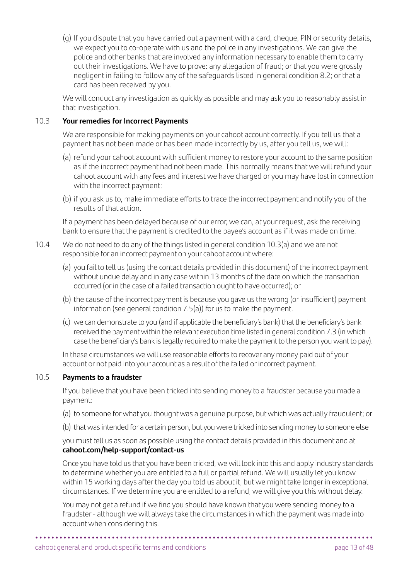(g) If you dispute that you have carried out a payment with a card, cheque, PIN or security details, we expect you to co-operate with us and the police in any investigations. We can give the police and other banks that are involved any information necessary to enable them to carry out their investigations. We have to prove: any allegation of fraud; or that you were grossly negligent in failing to follow any of the safeguards listed in general condition 8.2; or that a card has been received by you.

 We will conduct any investigation as quickly as possible and may ask you to reasonably assist in that investigation.

#### 10.3 **Your remedies for Incorrect Payments**

 We are responsible for making payments on your cahoot account correctly. If you tell us that a payment has not been made or has been made incorrectly by us, after you tell us, we will:

- (a) refund your cahoot account with sufficient money to restore your account to the same position as if the incorrect payment had not been made. This normally means that we will refund your cahoot account with any fees and interest we have charged or you may have lost in connection with the incorrect payment;
- (b) if you ask us to, make immediate efforts to trace the incorrect payment and notify you of the results of that action.

 If a payment has been delayed because of our error, we can, at your request, ask the receiving bank to ensure that the payment is credited to the payee's account as if it was made on time.

- 10.4 We do not need to do any of the things listed in general condition 10.3(a) and we are not responsible for an incorrect payment on your cahoot account where:
	- (a) you fail to tell us (using the contact details provided in this document) of the incorrect payment without undue delay and in any case within 13 months of the date on which the transaction occurred (or in the case of a failed transaction ought to have occurred); or
	- (b) the cause of the incorrect payment is because you gave us the wrong (or insufficient) payment information (see general condition  $7.5(a)$ ) for us to make the payment.
	- (c) we can demonstrate to you (and if applicable the beneficiary's bank) that the beneficiary's bank received the payment within the relevant execution time listed in general condition 7.3 (in which case the beneficiary's bank is legally required to make the payment to the person you want to pay).

 In these circumstances we will use reasonable efforts to recover any money paid out of your account or not paid into your account as a result of the failed or incorrect payment.

# 10.5 **Payments to a fraudster**

 If you believe that you have been tricked into sending money to a fraudster because you made a payment:

- (a) to someone for what you thought was a genuine purpose, but which was actually fraudulent; or
- (b) that was intended for a certain person, but you were tricked into sending money to someone else

 you must tell us as soon as possible using the contact details provided in this document and at **[cahoot.com/help-support/contact-us](http://cahoot.com/help-support/contact-us)**

 Once you have told us that you have been tricked, we will look into this and apply industry standards to determine whether you are entitled to a full or partial refund. We will usually let you know within 15 working days after the day you told us about it, but we might take longer in exceptional circumstances. If we determine you are entitled to a refund, we will give you this without delay.

 You may not get a refund if we find you should have known that you were sending money to a fraudster - although we will always take the circumstances in which the payment was made into account when considering this.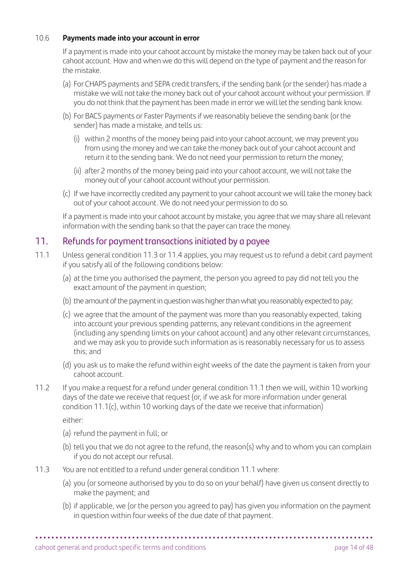#### 10.6 **Payments made into your account in error**

 If a payment is made into your cahoot account by mistake the money may be taken back out of your cahoot account. How and when we do this will depend on the type of payment and the reason for the mistake.

- (a) For CHAPS payments and SEPA credit transfers, if the sending bank (or the sender) has made a mistake we will not take the money back out of your cahoot account without your permission. If you do not think that the payment has been made in error we will let the sending bank know.
- (b) For BACS payments or Faster Payments if we reasonably believe the sending bank (or the sender) has made a mistake, and tells us:
	- (i) within 2 months of the money being paid into your cahoot account, we may prevent you from using the money and we can take the money back out of your cahoot account and return it to the sending bank. We do not need your permission to return the money;
	- (ii) after 2 months of the money being paid into your cahoot account, we will not take the money out of your cahoot account without your permission.
- (c) If we have incorrectly credited any payment to your cahoot account we will take the money back out of your cahoot account. We do not need your permission to do so.

 If a payment is made into your cahoot account by mistake, you agree that we may share all relevant information with the sending bank so that the payer can trace the money.

# 11. Refunds for payment transactions initiated by a payee

- 11.1 Unless general condition 11.3 or 11.4 applies, you may request us to refund a debit card payment if you satisfy all of the following conditions below:
	- (a) at the time you authorised the payment, the person you agreed to pay did not tell you the exact amount of the payment in question;
	- (b) the amount of the payment in question was higher than what you reasonably expected to pay;
	- (c) we agree that the amount of the payment was more than you reasonably expected, taking into account your previous spending patterns, any relevant conditions in the agreement (including any spending limits on your cahoot account) and any other relevant circumstances, and we may ask you to provide such information as is reasonably necessary for us to assess this; and
	- (d) you ask us to make the refund within eight weeks of the date the payment is taken from your cahoot account.
- 11.2 If you make a request for a refund under general condition 11.1 then we will, within 10 working days of the date we receive that request (or, if we ask for more information under general condition 11.1(c), within 10 working days of the date we receive that information)

either:

- (a) refund the payment in full; or
- (b) tell you that we do not agree to the refund, the reason(s) why and to whom you can complain if you do not accept our refusal.
- 11.3 You are not entitled to a refund under general condition 11.1 where:
	- (a) you (or someone authorised by you to do so on your behalf) have given us consent directly to make the payment; and
	- (b) if applicable, we (or the person you agreed to pay) has given you information on the payment in question within four weeks of the due date of that payment.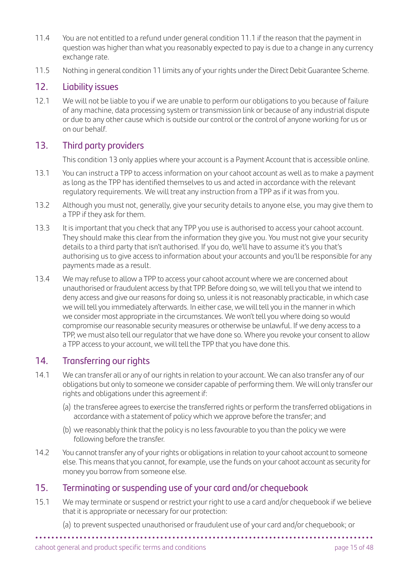- 11.4 You are not entitled to a refund under general condition 11.1 if the reason that the payment in question was higher than what you reasonably expected to pay is due to a change in any currency exchange rate.
- 11.5 Nothing in general condition 11 limits any of your rights under the Direct Debit Guarantee Scheme.

# 12. Liability issues

12.1 We will not be liable to you if we are unable to perform our obligations to you because of failure of any machine, data processing system or transmission link or because of any industrial dispute or due to any other cause which is outside our control or the control of anyone working for us or on our behalf.

# 13. Third party providers

This condition 13 only applies where your account is a Payment Account that is accessible online.

- 13.1 You can instruct a TPP to access information on your cahoot account as well as to make a payment as long as the TPP has identified themselves to us and acted in accordance with the relevant regulatory requirements. We will treat any instruction from a TPP as if it was from you.
- 13.2 Although you must not, generally, give your security details to anyone else, you may give them to a TPP if they ask for them.
- 13.3 It is important that you check that any TPP you use is authorised to access your cahoot account. They should make this clear from the information they give you. You must not give your security details to a third party that isn't authorised. If you do, we'll have to assume it's you that's authorising us to give access to information about your accounts and you'll be responsible for any payments made as a result.
- 13.4 We may refuse to allow a TPP to access your cahoot account where we are concerned about unauthorised or fraudulent access by that TPP. Before doing so, we will tell you that we intend to deny access and give our reasons for doing so, unless it is not reasonably practicable, in which case we will tell you immediately afterwards. In either case, we will tell you in the manner in which we consider most appropriate in the circumstances. We won't tell you where doing so would compromise our reasonable security measures or otherwise be unlawful. If we deny access to a TPP, we must also tell our regulator that we have done so. Where you revoke your consent to allow a TPP access to your account, we will tell the TPP that you have done this.

# 14. Transferring our rights

- 14.1 We can transfer all or any of our rights in relation to your account. We can also transfer any of our obligations but only to someone we consider capable of performing them. We will only transfer our rights and obligations under this agreement if:
	- (a) the transferee agrees to exercise the transferred rights or perform the transferred obligations in accordance with a statement of policy which we approve before the transfer; and
	- (b) we reasonably think that the policy is no less favourable to you than the policy we were following before the transfer.
- 14.2 You cannot transfer any of your rights or obligations in relation to your cahoot account to someone else. This means that you cannot, for example, use the funds on your cahoot account as security for money you borrow from someone else.

# 15. Terminating or suspending use of your card and/or chequebook

- 15.1 We may terminate or suspend or restrict your right to use a card and/or chequebook if we believe that it is appropriate or necessary for our protection:
	- **• • • • • • • • • • • • • • • • • • • • • • • • • • • • • • • • • • • • • • • • • •**  (a) to prevent suspected unauthorised or fraudulent use of your card and/or chequebook; or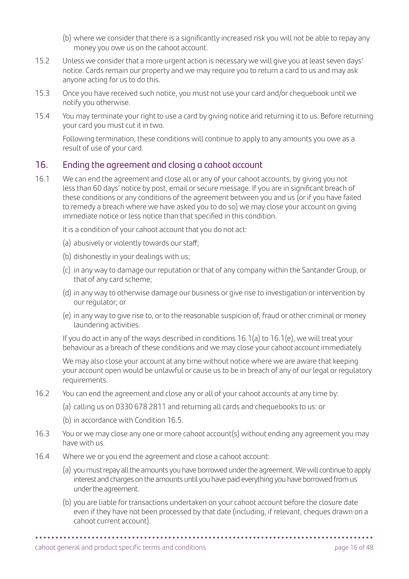- (b) where we consider that there is a significantly increased risk you will not be able to repay any money you owe us on the cahoot account.
- 15.2 Unless we consider that a more urgent action is necessary we will give you at least seven days' notice. Cards remain our property and we may require you to return a card to us and may ask anyone acting for us to do this.
- 15.3 Once you have received such notice, you must not use your card and/or chequebook until we notify you otherwise.
- 15.4 You may terminate your right to use a card by giving notice and returning it to us. Before returning your card you must cut it in two.

 Following termination, these conditions will continue to apply to any amounts you owe as a result of use of your card.

# 16. Ending the agreement and closing a cahoot account

16.1 We can end the agreement and close all or any of your cahoot accounts, by giving you not less than 60 days' notice by post, email or secure message. If you are in significant breach of these conditions or any conditions of the agreement between you and us (or if you have failed to remedy a breach where we have asked you to do so) we may close your account on giving immediate notice or less notice than that specified in this condition.

It is a condition of your cahoot account that you do not act:

- (a) abusively or violently towards our staff;
- (b) dishonestly in your dealings with us;
- (c) in any way to damage our reputation or that of any company within the Santander Group, or that of any card scheme;
- (d) in any way to otherwise damage our business or give rise to investigation or intervention by our regulator; or
- (e) in any way to give rise to, or to the reasonable suspicion of, fraud or other criminal or money laundering activities.

 If you do act in any of the ways described in conditions 16.1(a) to 16.1(e), we will treat your behaviour as a breach of these conditions and we may close your cahoot account immediately.

 We may also close your account at any time without notice where we are aware that keeping your account open would be unlawful or cause us to be in breach of any of our legal or regulatory requirements.

- 16.2 You can end the agreement and close any or all of your cahoot accounts at any time by:
	- (a) calling us on 0330 678 2811 and returning all cards and chequebooks to us: or
		- (b) in accordance with Condition 16.5.
- 16.3 You or we may close any one or more cahoot account(s) without ending any agreement you may have with us.
- 16.4 Where we or you end the agreement and close a cahoot account:
	- (a) you must repay all the amounts you have borrowed under the agreement. We will continue to apply interest and charges on the amounts until you have paid everything you have borrowed from us under the agreement.
	- (b) you are liable for transactions undertaken on your cahoot account before the closure date even if they have not been processed by that date (including, if relevant, cheques drawn on a cahoot current account).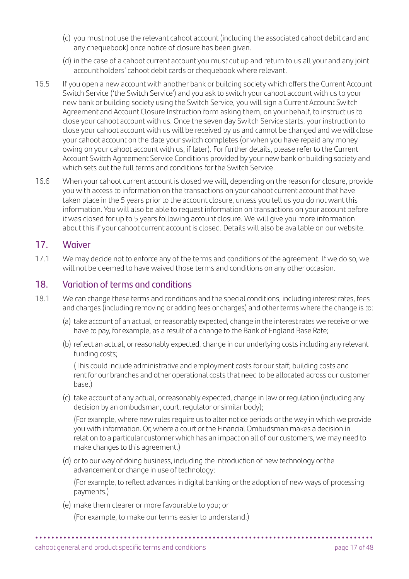- (c) you must not use the relevant cahoot account (including the associated cahoot debit card and any chequebook) once notice of closure has been given.
- (d) in the case of a cahoot current account you must cut up and return to us all your and any joint account holders' cahoot debit cards or chequebook where relevant.
- 16.5 If you open a new account with another bank or building society which offers the Current Account Switch Service ('the Switch Service') and you ask to switch your cahoot account with us to your new bank or building society using the Switch Service, you will sign a Current Account Switch Agreement and Account Closure Instruction form asking them, on your behalf, to instruct us to close your cahoot account with us. Once the seven day Switch Service starts, your instruction to close your cahoot account with us will be received by us and cannot be changed and we will close your cahoot account on the date your switch completes (or when you have repaid any money owing on your cahoot account with us, if later). For further details, please refer to the Current Account Switch Agreement Service Conditions provided by your new bank or building society and which sets out the full terms and conditions for the Switch Service.
- 16.6 When your cahoot current account is closed we will, depending on the reason for closure, provide you with access to information on the transactions on your cahoot current account that have taken place in the 5 years prior to the account closure, unless you tell us you do not want this information. You will also be able to request information on transactions on your account before it was closed for up to 5 years following account closure. We will give you more information about this if your cahoot current account is closed. Details will also be available on our website.

#### 17. Waiver

17.1 We may decide not to enforce any of the terms and conditions of the agreement. If we do so, we will not be deemed to have waived those terms and conditions on any other occasion.

# 18. Variation of terms and conditions

- 18.1 We can change these terms and conditions and the special conditions, including interest rates, fees and charges (including removing or adding fees or charges) and other terms where the change is to:
	- (a) take account of an actual, or reasonably expected, change in the interest rates we receive or we have to pay, for example, as a result of a change to the Bank of England Base Rate;
	- (b) reflect an actual, or reasonably expected, change in our underlying costs including any relevant funding costs;

 (This could include administrative and employment costs for our staff, building costs and rent for our branches and other operational costs that need to be allocated across our customer base.)

(c) take account of any actual, or reasonably expected, change in law or regulation (including any decision by an ombudsman, court, regulator or similar body);

 (For example, where new rules require us to alter notice periods or the way in which we provide you with information. Or, where a court or the Financial Ombudsman makes a decision in relation to a particular customer which has an impact on all of our customers, we may need to make changes to this agreement.)

(d) or to our way of doing business, including the introduction of new technology or the advancement or change in use of technology;

 (For example, to reflect advances in digital banking or the adoption of new ways of processing payments.)

(e) make them clearer or more favourable to you; or

(For example, to make our terms easier to understand.)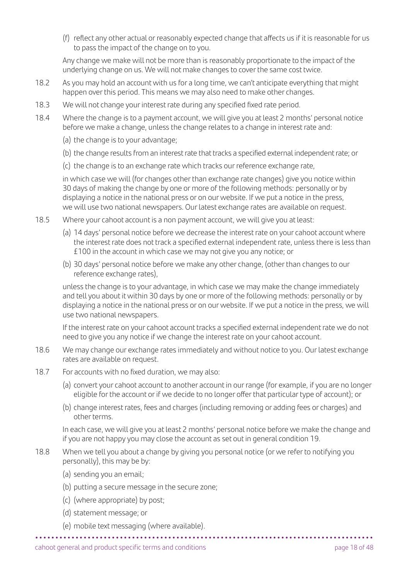(f) reflect any other actual or reasonably expected change that affects us if it is reasonable for us to pass the impact of the change on to you.

 Any change we make will not be more than is reasonably proportionate to the impact of the underlying change on us. We will not make changes to cover the same cost twice.

- 18.2 As you may hold an account with us for a long time, we can't anticipate everything that might happen over this period. This means we may also need to make other changes.
- 18.3 We will not change your interest rate during any specified fixed rate period.
- 18.4 Where the change is to a payment account, we will give you at least 2 months' personal notice before we make a change, unless the change relates to a change in interest rate and:
	- (a) the change is to your advantage;
	- (b) the change results from an interest rate that tracks a specified external independent rate; or
	- (c) the change is to an exchange rate which tracks our reference exchange rate,

 in which case we will (for changes other than exchange rate changes) give you notice within 30 days of making the change by one or more of the following methods: personally or by displaying a notice in the national press or on our website. If we put a notice in the press, we will use two national newspapers. Our latest exchange rates are available on request.

- 18.5 Where your cahoot account is a non payment account, we will give you at least:
	- (a) 14 days' personal notice before we decrease the interest rate on your cahoot account where the interest rate does not track a specified external independent rate, unless there is less than £100 in the account in which case we may not give you any notice; or
	- (b) 30 days' personal notice before we make any other change, (other than changes to our reference exchange rates),

 unless the change is to your advantage, in which case we may make the change immediately and tell you about it within 30 days by one or more of the following methods: personally or by displaying a notice in the national press or on our website. If we put a notice in the press, we will use two national newspapers.

 If the interest rate on your cahoot account tracks a specified external independent rate we do not need to give you any notice if we change the interest rate on your cahoot account.

- 18.6 We may change our exchange rates immediately and without notice to you. Our latest exchange rates are available on request.
- 18.7 For accounts with no fixed duration, we may also:
	- (a) convert your cahoot account to another account in our range (for example, if you are no longer eligible for the account or if we decide to no longer offer that particular type of account); or
	- (b) change interest rates, fees and charges (including removing or adding fees or charges) and other terms.

 In each case, we will give you at least 2 months' personal notice before we make the change and if you are not happy you may close the account as set out in general condition 19.

- 18.8 When we tell you about a change by giving you personal notice (or we refer to notifying you personally), this may be by:
	- (a) sending you an email;
	- (b) putting a secure message in the secure zone;
	- (c) (where appropriate) by post;
	- (d) statement message; or
	- (e) mobile text messaging (where available).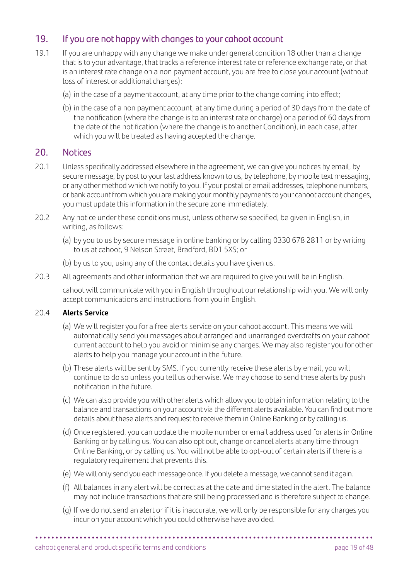# 19. If you are not happy with changes to your cahoot account

- 19.1 If you are unhappy with any change we make under general condition 18 other than a change that is to your advantage, that tracks a reference interest rate or reference exchange rate, or that is an interest rate change on a non payment account, you are free to close your account (without loss of interest or additional charges):
	- (a) in the case of a payment account, at any time prior to the change coming into effect;
	- (b) in the case of a non payment account, at any time during a period of 30 days from the date of the notification (where the change is to an interest rate or charge) or a period of 60 days from the date of the notification (where the change is to another Condition), in each case, after which you will be treated as having accepted the change.

#### 20. Notices

- 20.1 Unless specifically addressed elsewhere in the agreement, we can give you notices by email, by secure message, by post to your last address known to us, by telephone, by mobile text messaging, or any other method which we notify to you. If your postal or email addresses, telephone numbers, or bank account from which you are making your monthly payments to your cahoot account changes, you must update this information in the secure zone immediately.
- 20.2 Any notice under these conditions must, unless otherwise specified, be given in English, in writing, as follows:
	- (a) by you to us by secure message in online banking or by calling 0330 678 2811 or by writing to us at cahoot, 9 Nelson Street, Bradford, BD1 5XS; or
	- (b) by us to you, using any of the contact details you have given us.
- 20.3 All agreements and other information that we are required to give you will be in English.

 cahoot will communicate with you in English throughout our relationship with you. We will only accept communications and instructions from you in English.

#### 20.4 **Alerts Service**

- (a) We will register you for a free alerts service on your cahoot account. This means we will automatically send you messages about arranged and unarranged overdrafts on your cahoot current account to help you avoid or minimise any charges. We may also register you for other alerts to help you manage your account in the future.
- (b) These alerts will be sent by SMS. If you currently receive these alerts by email, you will continue to do so unless you tell us otherwise. We may choose to send these alerts by push notification in the future.
- (c) We can also provide you with other alerts which allow you to obtain information relating to the balance and transactions on your account via the different alerts available. You can find out more details about these alerts and request to receive them in Online Banking or by calling us.
- (d) Once registered, you can update the mobile number or email address used for alerts in Online Banking or by calling us. You can also opt out, change or cancel alerts at any time through Online Banking, or by calling us. You will not be able to opt-out of certain alerts if there is a regulatory requirement that prevents this.
- (e) We will only send you each message once. If you delete a message, we cannot send it again.
- (f) All balances in any alert will be correct as at the date and time stated in the alert. The balance may not include transactions that are still being processed and is therefore subject to change.
- (g) If we do not send an alert or if it is inaccurate, we will only be responsible for any charges you incur on your account which you could otherwise have avoided.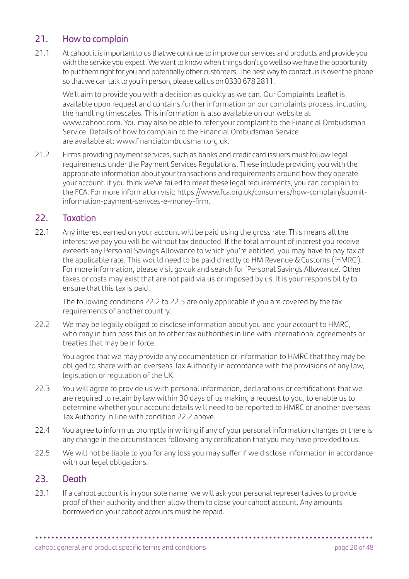# 21. How to complain

21.1 At cahoot it is important to us that we continue to improve our services and products and provide you with the service you expect. We want to know when things don't go well so we have the opportunity to put them right for you and potentially other customers. The best way to contact us is over the phone so that we can talk to you in person, please call us on 0330 678 2811.

 We'll aim to provide you with a decision as quickly as we can. Our Complaints Leaflet is available upon request and contains further information on our complaints process, including the handling timescales. This information is also available on our website at [www.cahoot.com.](http://www.cahoot.com) You may also be able to refer your complaint to the Financial Ombudsman Service. Details of how to complain to the Financial Ombudsman Service are available at: [www.financialombudsman.org.uk.](http://www.financialombudsman.org.uk)

21.2 Firms providing payment services, such as banks and credit card issuers must follow legal requirements under the Payment Services Regulations. These include providing you with the appropriate information about your transactions and requirements around how they operate your account. If you think we've failed to meet these legal requirements, you can complain to the FCA. For more information visit: [https://www.fca.org.uk/consumers/how-complain/submit](https://www.fca.org.uk/consumers/how-complain/submit-information-payment-serivces-e-money-firm)[information-payment-serivces-e-money-firm.](https://www.fca.org.uk/consumers/how-complain/submit-information-payment-serivces-e-money-firm)

# 22. Taxation

22.1 Any interest earned on your account will be paid using the gross rate. This means all the interest we pay you will be without tax deducted. If the total amount of interest you receive exceeds any Personal Savings Allowance to which you're entitled, you may have to pay tax at the applicable rate. This would need to be paid directly to HM Revenue & Customs ('HMRC'). For more information, please visit [gov.uk](http://gov.uk) and search for 'Personal Savings Allowance'. Other taxes or costs may exist that are not paid via us or imposed by us. It is your responsibility to ensure that this tax is paid.

 The following conditions 22.2 to 22.5 are only applicable if you are covered by the tax requirements of another country:

22.2 We may be legally obliged to disclose information about you and your account to HMRC, who may in turn pass this on to other tax authorities in line with international agreements or treaties that may be in force.

 You agree that we may provide any documentation or information to HMRC that they may be obliged to share with an overseas Tax Authority in accordance with the provisions of any law, legislation or regulation of the UK.

- 22.3 You will agree to provide us with personal information, declarations or certifications that we are required to retain by law within 30 days of us making a request to you, to enable us to determine whether your account details will need to be reported to HMRC or another overseas Tax Authority in line with condition 22.2 above.
- 22.4 You agree to inform us promptly in writing if any of your personal information changes or there is any change in the circumstances following any certification that you may have provided to us.
- 22.5 We will not be liable to you for any loss you may suffer if we disclose information in accordance with our legal obligations.

# 23. Death

23.1 If a cahoot account is in your sole name, we will ask your personal representatives to provide proof of their authority and then allow them to close your cahoot account. Any amounts borrowed on your cahoot accounts must be repaid.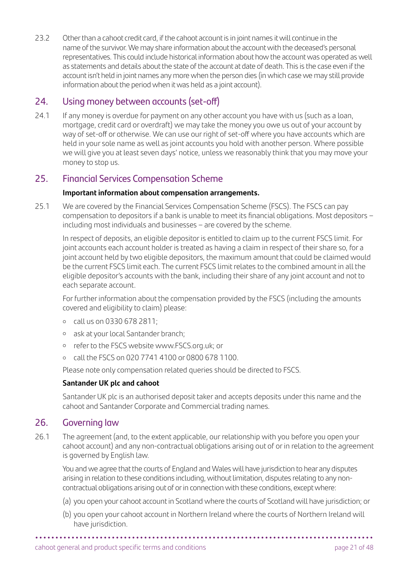23.2 Other than a cahoot credit card, if the cahoot account is in joint names it will continue in the name of the survivor. We may share information about the account with the deceased's personal representatives. This could include historical information about how the account was operated as well as statements and details about the state of the account at date of death. This is the case even if the account isn't held in joint names any more when the person dies (in which case we may still provide information about the period when it was held as a joint account).

# 24. Using money between accounts (set-off)

24.1 If any money is overdue for payment on any other account you have with us (such as a loan, mortgage, credit card or overdraft) we may take the money you owe us out of your account by way of set-off or otherwise. We can use our right of set-off where you have accounts which are held in your sole name as well as joint accounts you hold with another person. Where possible we will give you at least seven days' notice, unless we reasonably think that you may move your money to stop us.

# 25. Financial Services Compensation Scheme

#### **Important information about compensation arrangements.**

25.1 We are covered by the Financial Services Compensation Scheme (FSCS). The FSCS can pay compensation to depositors if a bank is unable to meet its financial obligations. Most depositors – including most individuals and businesses – are covered by the scheme.

 In respect of deposits, an eligible depositor is entitled to claim up to the current FSCS limit. For joint accounts each account holder is treated as having a claim in respect of their share so, for a joint account held by two eligible depositors, the maximum amount that could be claimed would be the current FSCS limit each. The current FSCS limit relates to the combined amount in all the eligible depositor's accounts with the bank, including their share of any joint account and not to each separate account.

 For further information about the compensation provided by the FSCS (including the amounts covered and eligibility to claim) please:

- call us on 0330 678 2811;
- ask at your local Santander branch;
- refer to the FSCS website [www.FSCS.org.uk](http://www.FSCS.org.uk); or
- call the FSCS on 020 7741 4100 or 0800 678 1100.

Please note only compensation related queries should be directed to FSCS.

#### **Santander UK plc and cahoot**

 Santander UK plc is an authorised deposit taker and accepts deposits under this name and the cahoot and Santander Corporate and Commercial trading names.

# 26. Governing law

26.1 The agreement (and, to the extent applicable, our relationship with you before you open your cahoot account) and any non-contractual obligations arising out of or in relation to the agreement is governed by English law.

 You and we agree that the courts of England and Wales will have jurisdiction to hear any disputes arising in relation to these conditions including, without limitation, disputes relating to any noncontractual obligations arising out of or in connection with these conditions, except where:

- (a) you open your cahoot account in Scotland where the courts of Scotland will have jurisdiction; or
- (b) you open your cahoot account in Northern Ireland where the courts of Northern Ireland will have jurisdiction.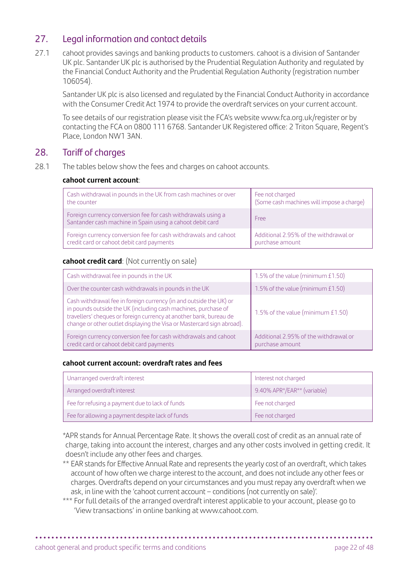# 27. Legal information and contact details

27.1 cahoot provides savings and banking products to customers. cahoot is a division of Santander UK plc. Santander UK plc is authorised by the Prudential Regulation Authority and regulated by the Financial Conduct Authority and the Prudential Regulation Authority (registration number 106054).

 Santander UK plc is also licensed and regulated by the Financial Conduct Authority in accordance with the Consumer Credit Act 1974 to provide the overdraft services on your current account.

 To see details of our registration please visit the FCA's website [www.fca.org.uk/register](http://www.fca.org.uk/register) or by contacting the FCA on 0800 111 6768. Santander UK Registered office: 2 Triton Square, Regent's Place, London NW1 3AN.

# 28. Tariff of charges

28.1 The tables below show the fees and charges on cahoot accounts.

#### **cahoot current account**:

| Cash withdrawal in pounds in the UK from cash machines or over                                                            | Fee not charged                           |
|---------------------------------------------------------------------------------------------------------------------------|-------------------------------------------|
| the counter                                                                                                               | (Some cash machines will impose a charge) |
| Foreign currency conversion fee for cash withdrawals using a<br>Santander cash machine in Spain using a cahoot debit card | Free                                      |
| Foreign currency conversion fee for cash withdrawals and cahoot                                                           | Additional 2.95% of the withdrawal or     |
| credit card or cahoot debit card payments                                                                                 | purchase amount                           |

#### **cahoot credit card**: (Not currently on sale)

| Cash withdrawal fee in pounds in the UK                                                                                                                                                                                                                                              | 1.5% of the value (minimum £1.50)                        |
|--------------------------------------------------------------------------------------------------------------------------------------------------------------------------------------------------------------------------------------------------------------------------------------|----------------------------------------------------------|
| Over the counter cash withdrawals in pounds in the UK                                                                                                                                                                                                                                | 1.5% of the value (minimum £1.50)                        |
| Cash withdrawal fee in foreign currency (in and outside the UK) or<br>in pounds outside the UK (including cash machines, purchase of<br>travellers' cheques or foreign currency at another bank, bureau de<br>change or other outlet displaying the Visa or Mastercard sign abroad). | 1.5% of the value (minimum £1.50)                        |
| Foreign currency conversion fee for cash withdrawals and cahoot<br>credit card or cahoot debit card payments                                                                                                                                                                         | Additional 2.95% of the withdrawal or<br>purchase amount |

#### **cahoot current account: overdraft rates and fees**

| Unarranged overdraft interest                    | Interest not charged        |
|--------------------------------------------------|-----------------------------|
| Arranged overdraft interest                      | 9.40% APR*/EAR** (variable) |
| Fee for refusing a payment due to lack of funds  | Fee not charged             |
| Fee for allowing a payment despite lack of funds | Fee not charged             |

 \*APR stands for Annual Percentage Rate. It shows the overall cost of credit as an annual rate of charge, taking into account the interest, charges and any other costs involved in getting credit. It doesn't include any other fees and charges.

- \*\* EAR stands for Effective Annual Rate and represents the yearly cost of an overdraft, which takes account of how often we charge interest to the account, and does not include any other fees or charges. Overdrafts depend on your circumstances and you must repay any overdraft when we ask, in line with the 'cahoot current account – conditions (not currently on sale)'.
- \*\*\* For full details of the arranged overdraft interest applicable to your account, please go to 'View transactions' in online banking at [www.cahoot.com.](http://www.cahoot.com)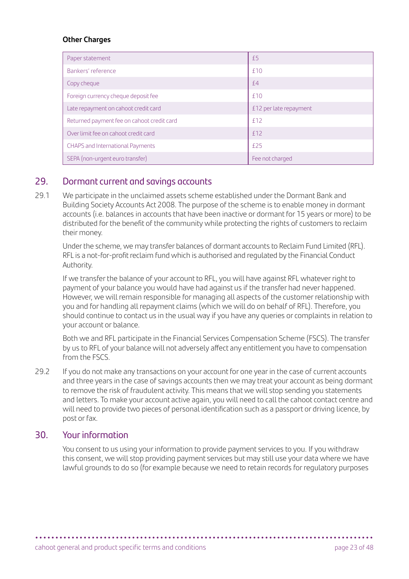#### **Other Charges**

| Paper statement                            | £5                     |
|--------------------------------------------|------------------------|
| Bankers' reference                         | f10                    |
| Copy cheque                                | f4                     |
| Foreign currency cheque deposit fee        | f10                    |
| Late repayment on cahoot credit card       | £12 per late repayment |
| Returned payment fee on cahoot credit card | f12                    |
| Over limit fee on cahoot credit card       | f12                    |
| CHAPS and International Payments           | f25                    |
| SEPA (non-urgent euro transfer)            | Fee not charged        |

# 29. Dormant current and savings accounts

29.1 We participate in the unclaimed assets scheme established under the Dormant Bank and Building Society Accounts Act 2008. The purpose of the scheme is to enable money in dormant accounts (i.e. balances in accounts that have been inactive or dormant for 15 years or more) to be distributed for the benefit of the community while protecting the rights of customers to reclaim their money.

 Under the scheme, we may transfer balances of dormant accounts to Reclaim Fund Limited (RFL). RFL is a not-for-profit reclaim fund which is authorised and regulated by the Financial Conduct Authority.

 If we transfer the balance of your account to RFL, you will have against RFL whatever right to payment of your balance you would have had against us if the transfer had never happened. However, we will remain responsible for managing all aspects of the customer relationship with you and for handling all repayment claims (which we will do on behalf of RFL). Therefore, you should continue to contact us in the usual way if you have any queries or complaints in relation to your account or balance.

 Both we and RFL participate in the Financial Services Compensation Scheme (FSCS). The transfer by us to RFL of your balance will not adversely affect any entitlement you have to compensation from the **FSCS** 

29.2 If you do not make any transactions on your account for one year in the case of current accounts and three years in the case of savings accounts then we may treat your account as being dormant to remove the risk of fraudulent activity. This means that we will stop sending you statements and letters. To make your account active again, you will need to call the cahoot contact centre and will need to provide two pieces of personal identification such as a passport or driving licence, by post or fax.

# 30. Your information

You consent to us using your information to provide payment services to you. If you withdraw this consent, we will stop providing payment services but may still use your data where we have lawful grounds to do so (for example because we need to retain records for regulatory purposes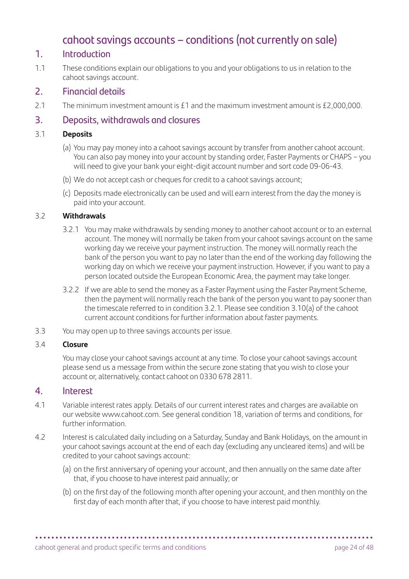# cahoot savings accounts – conditions (not currently on sale)

# 1. Introduction

1.1 These conditions explain our obligations to you and your obligations to us in relation to the cahoot savings account.

# 2. Financial details

2.1 The minimum investment amount is £1 and the maximum investment amount is £2,000,000.

# 3. Deposits, withdrawals and closures

#### 3.1 **Deposits**

- (a) You may pay money into a cahoot savings account by transfer from another cahoot account. You can also pay money into your account by standing order, Faster Payments or CHAPS – you will need to give your bank your eight-digit account number and sort code 09-06-43.
- (b) We do not accept cash or cheques for credit to a cahoot savings account;
- (c) Deposits made electronically can be used and will earn interest from the day the money is paid into your account.

#### 3.2 **Withdrawals**

- 3.2.1 You may make withdrawals by sending money to another cahoot account or to an external account. The money will normally be taken from your cahoot savings account on the same working day we receive your payment instruction. The money will normally reach the bank of the person you want to pay no later than the end of the working day following the working day on which we receive your payment instruction. However, if you want to pay a person located outside the European Economic Area, the payment may take longer.
- 3.2.2 If we are able to send the money as a Faster Payment using the Faster Payment Scheme, then the payment will normally reach the bank of the person you want to pay sooner than the timescale referred to in condition 3.2.1. Please see condition 3.10(a) of the cahoot current account conditions for further information about faster payments.
- 3.3 You may open up to three savings accounts per issue.

#### 3.4 **Closure**

 You may close your cahoot savings account at any time. To close your cahoot savings account please send us a message from within the secure zone stating that you wish to close your account or, alternatively, contact cahoot on 0330 678 2811.

#### 4. Interest

- 4.1 Variable interest rates apply. Details of our current interest rates and charges are available on our website [www.cahoot.com](http://www.cahoot.com). See general condition 18, variation of terms and conditions, for further information.
- 4.2 Interest is calculated daily including on a Saturday, Sunday and Bank Holidays, on the amount in your cahoot savings account at the end of each day (excluding any uncleared items) and will be credited to your cahoot savings account:
	- (a) on the first anniversary of opening your account, and then annually on the same date after that, if you choose to have interest paid annually; or
	- (b) on the first day of the following month after opening your account, and then monthly on the first day of each month after that, if you choose to have interest paid monthly.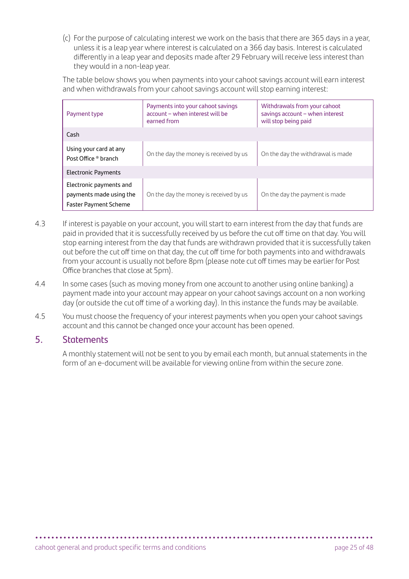(c) For the purpose of calculating interest we work on the basis that there are 365 days in a year, unless it is a leap year where interest is calculated on a 366 day basis. Interest is calculated differently in a leap year and deposits made after 29 February will receive less interest than they would in a non-leap year.

 The table below shows you when payments into your cahoot savings account will earn interest and when withdrawals from your cahoot savings account will stop earning interest:

| Payment type                                                                       | Payments into your cahoot savings<br>account - when interest will be<br>earned from | Withdrawals from your cahoot<br>savings account - when interest<br>will stop being paid |
|------------------------------------------------------------------------------------|-------------------------------------------------------------------------------------|-----------------------------------------------------------------------------------------|
| Cash                                                                               |                                                                                     |                                                                                         |
| Using your card at any<br>Post Office ® branch                                     | On the day the money is received by us                                              | On the day the withdrawal is made                                                       |
| <b>Electronic Payments</b>                                                         |                                                                                     |                                                                                         |
| Electronic payments and<br>payments made using the<br><b>Faster Payment Scheme</b> | On the day the money is received by us                                              | On the day the payment is made                                                          |

- 4.3 If interest is payable on your account, you will start to earn interest from the day that funds are paid in provided that it is successfully received by us before the cut off time on that day. You will stop earning interest from the day that funds are withdrawn provided that it is successfully taken out before the cut off time on that day, the cut off time for both payments into and withdrawals from your account is usually not before 8pm (please note cut off times may be earlier for Post Office branches that close at 5pm).
- 4.4 In some cases (such as moving money from one account to another using online banking) a payment made into your account may appear on your cahoot savings account on a non working day (or outside the cut off time of a working day). In this instance the funds may be available.
- 4.5 You must choose the frequency of your interest payments when you open your cahoot savings account and this cannot be changed once your account has been opened.

# 5. Statements

 A monthly statement will not be sent to you by email each month, but annual statements in the form of an e-document will be available for viewing online from within the secure zone.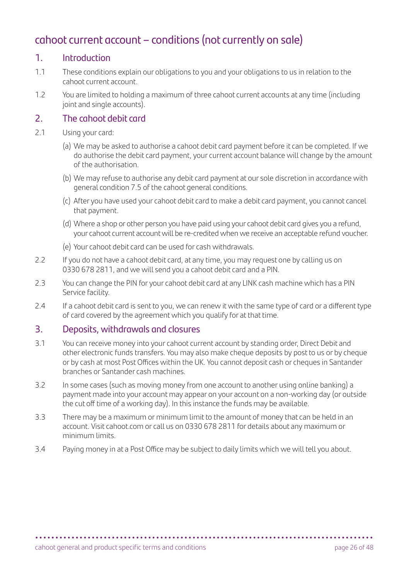# cahoot current account – conditions (not currently on sale)

# 1. Introduction

- 1.1 These conditions explain our obligations to you and your obligations to us in relation to the cahoot current account.
- 1.2 You are limited to holding a maximum of three cahoot current accounts at any time (including joint and single accounts).

# 2. The cahoot debit card

- 2.1 Using your card:
	- (a) We may be asked to authorise a cahoot debit card payment before it can be completed. If we do authorise the debit card payment, your current account balance will change by the amount of the authorisation.
	- (b) We may refuse to authorise any debit card payment at our sole discretion in accordance with general condition 7.5 of the cahoot general conditions.
	- (c) After you have used your cahoot debit card to make a debit card payment, you cannot cancel that payment.
	- (d) Where a shop or other person you have paid using your cahoot debit card gives you a refund, your cahoot current account will be re-credited when we receive an acceptable refund voucher.
	- (e) Your cahoot debit card can be used for cash withdrawals.
- 2.2 If you do not have a cahoot debit card, at any time, you may request one by calling us on 0330 678 2811, and we will send you a cahoot debit card and a PIN.
- 2.3 You can change the PIN for your cahoot debit card at any LINK cash machine which has a PIN Service facility.
- 2.4 If a cahoot debit card is sent to you, we can renew it with the same type of card or a different type of card covered by the agreement which you qualify for at that time.

# 3. Deposits, withdrawals and closures

- 3.1 You can receive money into your cahoot current account by standing order, Direct Debit and other electronic funds transfers. You may also make cheque deposits by post to us or by cheque or by cash at most Post Offices within the UK. You cannot deposit cash or cheques in Santander branches or Santander cash machines.
- 3.2 In some cases (such as moving money from one account to another using online banking) a payment made into your account may appear on your account on a non-working day (or outside the cut off time of a working day). In this instance the funds may be available.
- 3.3 There may be a maximum or minimum limit to the amount of money that can be held in an account. Visit [cahoot.com](http://cahoot.com) or call us on 0330 678 2811 for details about any maximum or minimum limits.
- 3.4 Paying money in at a Post Office may be subject to daily limits which we will tell you about.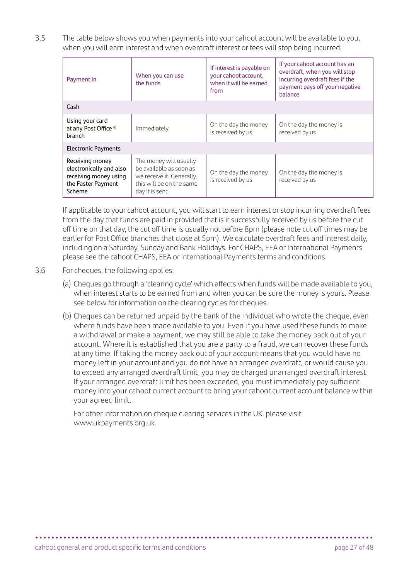3.5 The table below shows you when payments into your cahoot account will be available to you, when you will earn interest and when overdraft interest or fees will stop being incurred:

| Payment In                                                                                          | When you can use<br>the funds                                                                                                | If interest is payable on<br>your cahoot account,<br>when it will be earned<br>from | If your cahoot account has an<br>overdraft, when you will stop<br>incurring overdraft fees if the<br>payment pays off your negative<br>balance |
|-----------------------------------------------------------------------------------------------------|------------------------------------------------------------------------------------------------------------------------------|-------------------------------------------------------------------------------------|------------------------------------------------------------------------------------------------------------------------------------------------|
| Cash                                                                                                |                                                                                                                              |                                                                                     |                                                                                                                                                |
| Using your card<br>at any Post Office ®<br>branch                                                   | Immediately                                                                                                                  | On the day the money<br>is received by us                                           | On the day the money is<br>received by us                                                                                                      |
| <b>Electronic Payments</b>                                                                          |                                                                                                                              |                                                                                     |                                                                                                                                                |
| Receiving money<br>electronically and also<br>receiving money using<br>the Faster Payment<br>Scheme | The money will usually<br>be available as soon as<br>we receive it. Generally,<br>this will be on the same<br>day it is sent | On the day the money<br>is received by us                                           | On the day the money is<br>received by us                                                                                                      |

 If applicable to your cahoot account, you will start to earn interest or stop incurring overdraft fees from the day that funds are paid in provided that is it successfully received by us before the cut off time on that day, the cut off time is usually not before 8pm (please note cut off times may be earlier for Post Office branches that close at 5pm). We calculate overdraft fees and interest daily, including on a Saturday, Sunday and Bank Holidays. For CHAPS, EEA or International Payments please see the cahoot CHAPS, EEA or International Payments terms and conditions.

- 3.6 For cheques, the following applies:
	- (a) Cheques go through a 'clearing cycle' which affects when funds will be made available to you, when interest starts to be earned from and when you can be sure the money is yours. Please see below for information on the clearing cycles for cheques.
	- (b) Cheques can be returned unpaid by the bank of the individual who wrote the cheque, even where funds have been made available to you. Even if you have used these funds to make a withdrawal or make a payment, we may still be able to take the money back out of your account. Where it is established that you are a party to a fraud, we can recover these funds at any time. If taking the money back out of your account means that you would have no money left in your account and you do not have an arranged overdraft, or would cause you to exceed any arranged overdraft limit, you may be charged unarranged overdraft interest. If your arranged overdraft limit has been exceeded, you must immediately pay sufficient money into your cahoot current account to bring your cahoot current account balance within your agreed limit.

 For other information on cheque clearing services in the UK, please visit [www.ukpayments.org.uk.](http://www.ukpayments.org.uk)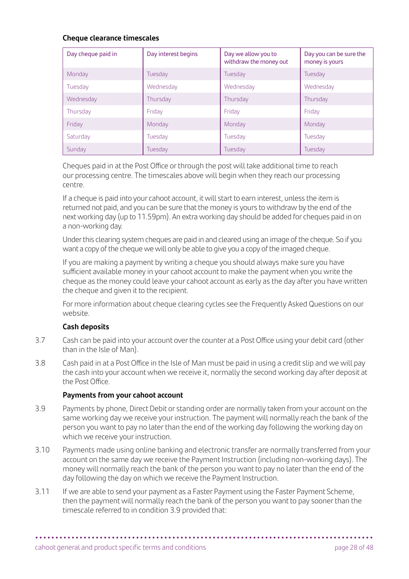#### **Cheque clearance timescales**

| Day cheque paid in | Day interest begins | Day we allow you to<br>withdraw the money out | Day you can be sure the<br>money is yours |
|--------------------|---------------------|-----------------------------------------------|-------------------------------------------|
| Monday             | Tuesday             | Tuesday                                       | Tuesday                                   |
| Tuesday            | Wednesday           | Wednesday                                     | Wednesday                                 |
| Wednesday          | Thursday            | Thursday                                      | Thursday                                  |
| Thursday           | Friday              | Friday                                        | Fridav                                    |
| Friday             | Monday              | Monday                                        | Monday                                    |
| Saturday           | Tuesday             | Tuesday                                       | Tuesday                                   |
| Sunday             | Tuesday             | Tuesday                                       | Tuesday                                   |

 Cheques paid in at the Post Office or through the post will take additional time to reach our processing centre. The timescales above will begin when they reach our processing centre.

 If a cheque is paid into your cahoot account, it will start to earn interest, unless the item is returned not paid, and you can be sure that the money is yours to withdraw by the end of the next working day (up to 11.59pm). An extra working day should be added for cheques paid in on a non-working day.

 Under this clearing system cheques are paid in and cleared using an image of the cheque. So if you want a copy of the cheque we will only be able to give you a copy of the imaged cheque.

 If you are making a payment by writing a cheque you should always make sure you have sufficient available money in your cahoot account to make the payment when you write the cheque as the money could leave your cahoot account as early as the day after you have written the cheque and given it to the recipient.

 For more information about cheque clearing cycles see the Frequently Asked Questions on our website.

#### **Cash deposits**

- 3.7 Cash can be paid into your account over the counter at a Post Office using your debit card (other than in the Isle of Man).
- 3.8 Cash paid in at a Post Office in the Isle of Man must be paid in using a credit slip and we will pay the cash into your account when we receive it, normally the second working day after deposit at the Post Office.

#### **Payments from your cahoot account**

- 3.9 Payments by phone, Direct Debit or standing order are normally taken from your account on the same working day we receive your instruction. The payment will normally reach the bank of the person you want to pay no later than the end of the working day following the working day on which we receive your instruction.
- 3.10 Payments made using online banking and electronic transfer are normally transferred from your account on the same day we receive the Payment Instruction (including non-working days). The money will normally reach the bank of the person you want to pay no later than the end of the day following the day on which we receive the Payment Instruction.
- 3.11 If we are able to send your payment as a Faster Payment using the Faster Payment Scheme, then the payment will normally reach the bank of the person you want to pay sooner than the timescale referred to in condition 3.9 provided that: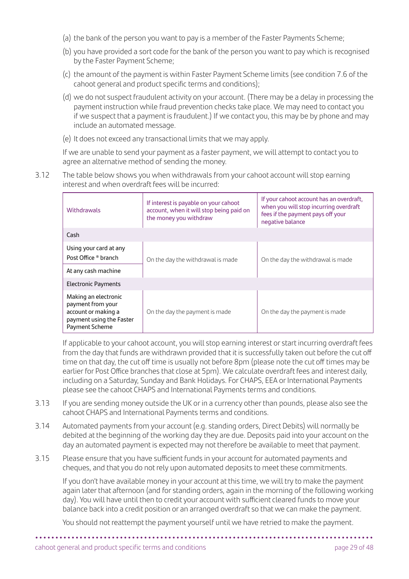- (a) the bank of the person you want to pay is a member of the Faster Payments Scheme;
- (b) you have provided a sort code for the bank of the person you want to pay which is recognised by the Faster Payment Scheme;
- (c) the amount of the payment is within Faster Payment Scheme limits (see condition 7.6 of the cahoot general and product specific terms and conditions);
- (d) we do not suspect fraudulent activity on your account. (There may be a delay in processing the payment instruction while fraud prevention checks take place. We may need to contact you if we suspect that a payment is fraudulent.) If we contact you, this may be by phone and may include an automated message.
- (e) It does not exceed any transactional limits that we may apply.

 If we are unable to send your payment as a faster payment, we will attempt to contact you to agree an alternative method of sending the money.

3.12 The table below shows you when withdrawals from your cahoot account will stop earning interest and when overdraft fees will be incurred:

| Withdrawals                                                                                                    | If interest is payable on your cahoot<br>account, when it will stop being paid on<br>the money you withdraw | If your cahoot account has an overdraft,<br>when you will stop incurring overdraft<br>fees if the payment pays off your<br>negative balance |  |
|----------------------------------------------------------------------------------------------------------------|-------------------------------------------------------------------------------------------------------------|---------------------------------------------------------------------------------------------------------------------------------------------|--|
| Cash                                                                                                           |                                                                                                             |                                                                                                                                             |  |
| Using your card at any<br>Post Office ® branch                                                                 | On the day the withdrawal is made                                                                           | On the day the withdrawal is made                                                                                                           |  |
| At any cash machine                                                                                            |                                                                                                             |                                                                                                                                             |  |
| <b>Electronic Payments</b>                                                                                     |                                                                                                             |                                                                                                                                             |  |
| Making an electronic<br>payment from your<br>account or making a<br>payment using the Faster<br>Payment Scheme | On the day the payment is made                                                                              | On the day the payment is made                                                                                                              |  |

 If applicable to your cahoot account, you will stop earning interest or start incurring overdraft fees from the day that funds are withdrawn provided that it is successfully taken out before the cut off time on that day, the cut off time is usually not before 8pm (please note the cut off times may be earlier for Post Office branches that close at 5pm). We calculate overdraft fees and interest daily, including on a Saturday, Sunday and Bank Holidays. For CHAPS, EEA or International Payments please see the cahoot CHAPS and International Payments terms and conditions.

- 3.13 If you are sending money outside the UK or in a currency other than pounds, please also see the cahoot CHAPS and International Payments terms and conditions.
- 3.14 Automated payments from your account (e.g. standing orders, Direct Debits) will normally be debited at the beginning of the working day they are due. Deposits paid into your account on the day an automated payment is expected may not therefore be available to meet that payment.
- 3.15 Please ensure that you have sufficient funds in your account for automated payments and cheques, and that you do not rely upon automated deposits to meet these commitments.

 If you don't have available money in your account at this time, we will try to make the payment again later that afternoon (and for standing orders, again in the morning of the following working day). You will have until then to credit your account with sufficient cleared funds to move your balance back into a credit position or an arranged overdraft so that we can make the payment.

**• • • • • • • • • • • • • • • • • • • • • • • • • • • • • • • • • • • • • • • • • • • • • • • • • • • • • • • • • • • • • • • • • • • • • • • • • • • • • • • • • • • •** 

You should not reattempt the payment yourself until we have retried to make the payment.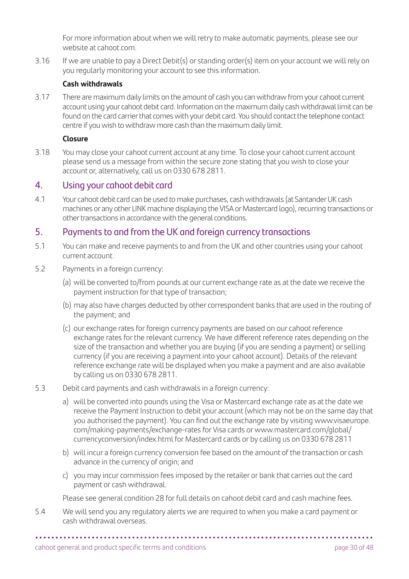For more information about when we will retry to make automatic payments, please see our website at [cahoot.com](http://cahoot.com).

3.16 If we are unable to pay a Direct Debit(s) or standing order(s) item on your account we will rely on you regularly monitoring your account to see this information.

#### **Cash withdrawals**

3.17 There are maximum daily limits on the amount of cash you can withdraw from your cahoot current account using your cahoot debit card. Information on the maximum daily cash withdrawal limit can be found on the card carrier that comes with your debit card. You should contact the telephone contact centre if you wish to withdraw more cash than the maximum daily limit.

#### **Closure**

3.18 You may close your cahoot current account at any time. To close your cahoot current account please send us a message from within the secure zone stating that you wish to close your account or, alternatively, call us on 0330 678 2811.

# 4. Using your cahoot debit card

4.1 Your cahoot debit card can be used to make purchases, cash withdrawals (at Santander UK cash machines or any other LINK machine displaying the VISA or Mastercard logo), recurring transactions or other transactions in accordance with the general conditions.

# 5. Payments to and from the UK and foreign currency transactions

- 5.1 You can make and receive payments to and from the UK and other countries using your cahoot current account.
- 5.2 Payments in a foreign currency:
	- (a) will be converted to/from pounds at our current exchange rate as at the date we receive the payment instruction for that type of transaction;
	- (b) may also have charges deducted by other correspondent banks that are used in the routing of the payment; and
	- (c) our exchange rates for foreign currency payments are based on our cahoot reference exchange rates for the relevant currency. We have different reference rates depending on the size of the transaction and whether you are buying (if you are sending a payment) or selling currency (if you are receiving a payment into your cahoot account). Details of the relevant reference exchange rate will be displayed when you make a payment and are also available by calling us on 0330 678 2811.
- 5.3 Debit card payments and cash withdrawals in a foreign currency:
	- a) will be converted into pounds using the Visa or Mastercard exchange rate as at the date we receive the Payment Instruction to debit your account (which may not be on the same day that you authorised the payment). You can find out the exchange rate by visiting [www.visaeurope.](http://www.visaeurope.com/making-payments/exchange-rates) [com/making-payments/exchange-rates](http://www.visaeurope.com/making-payments/exchange-rates) for Visa cards or [www.mastercard.com/global/](http://www.mastercard.com/global/currencyconversion/index.html) [currencyconversion/index.html](http://www.mastercard.com/global/currencyconversion/index.html) for Mastercard cards or by calling us on 0330 678 2811
	- b) will incur a foreign currency conversion fee based on the amount of the transaction or cash advance in the currency of origin; and
	- c) you may incur commission fees imposed by the retailer or bank that carries out the card payment or cash withdrawal.

Please see general condition 28 for full details on cahoot debit card and cash machine fees.

**• • • • • • • • • • • • • • • • • • • • • • • • • • • • • • • • • • • • • • • • • • • • • • • • • • • • • • • • • • • • • • • • • • • • • • • • • • • • • • • • • • • •** 

5.4 We will send you any regulatory alerts we are required to when you make a card payment or cash withdrawal overseas.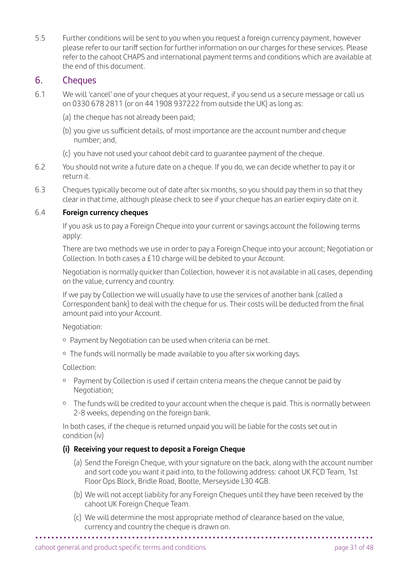5.5 Further conditions will be sent to you when you request a foreign currency payment, however please refer to our tariff section for further information on our charges for these services. Please refer to the cahoot CHAPS and international payment terms and conditions which are available at the end of this document.

#### 6. Cheques

- 6.1 We will 'cancel' one of your cheques at your request, if you send us a secure message or call us on 0330 678 2811 (or on 44 1908 937222 from outside the UK) as long as:
	- (a) the cheque has not already been paid;
	- (b) you give us sufficient details, of most importance are the account number and cheque number; and,
	- (c) you have not used your cahoot debit card to guarantee payment of the cheque.
- 6.2 You should not write a future date on a cheque. If you do, we can decide whether to pay it or return it.
- 6.3 Cheques typically become out of date after six months, so you should pay them in so that they clear in that time, although please check to see if your cheque has an earlier expiry date on it.

# 6.4 **Foreign currency cheques**

 If you ask us to pay a Foreign Cheque into your current or savings account the following terms apply:

 There are two methods we use in order to pay a Foreign Cheque into your account; Negotiation or Collection. In both cases a £10 charge will be debited to your Account.

 Negotiation is normally quicker than Collection, however it is not available in all cases, depending on the value, currency and country.

 If we pay by Collection we will usually have to use the services of another bank (called a Correspondent bank) to deal with the cheque for us. Their costs will be deducted from the final amount paid into your Account.

Negotiation:

- Payment by Negotiation can be used when criteria can be met.
- o The funds will normally be made available to you after six working days.

Collection:

- <sup>o</sup> Payment by Collection is used if certain criteria means the cheque cannot be paid by Negotiation;
- <sup>o</sup> The funds will be credited to your account when the cheque is paid. This is normally between 2-8 weeks, depending on the foreign bank.

 In both cases, if the cheque is returned unpaid you will be liable for the costs set out in condition (iv)

#### **(i) Receiving your request to deposit a Foreign Cheque**

- (a) Send the Foreign Cheque, with your signature on the back, along with the account number and sort code you want it paid into, to the following address: cahoot UK FCD Team, 1st Floor Ops Block, Bridle Road, Bootle, Merseyside L30 4GB.
- (b) We will not accept liability for any Foreign Cheques until they have been received by the cahoot UK Foreign Cheque Team.
- (c) We will determine the most appropriate method of clearance based on the value, currency and country the cheque is drawn on.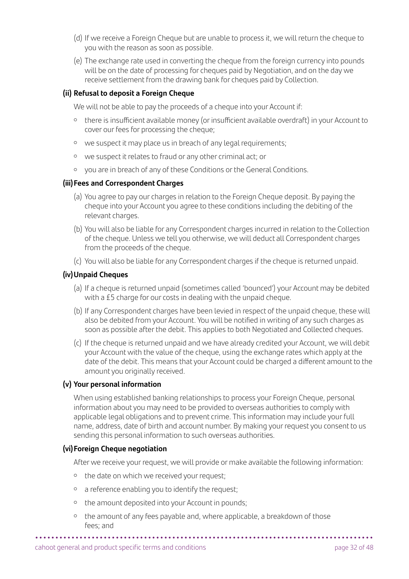- (d) If we receive a Foreign Cheque but are unable to process it, we will return the cheque to you with the reason as soon as possible.
- (e) The exchange rate used in converting the cheque from the foreign currency into pounds will be on the date of processing for cheques paid by Negotiation, and on the day we receive settlement from the drawing bank for cheques paid by Collection.

#### **(ii) Refusal to deposit a Foreign Cheque**

We will not be able to pay the proceeds of a cheque into your Account if:

- there is insufficient available money (or insufficient available overdraft) in your Account to cover our fees for processing the cheque;
- o we suspect it may place us in breach of any legal requirements;
- we suspect it relates to fraud or any other criminal act; or
- you are in breach of any of these Conditions or the General Conditions.

#### **(iii)Fees and Correspondent Charges**

- (a) You agree to pay our charges in relation to the Foreign Cheque deposit. By paying the cheque into your Account you agree to these conditions including the debiting of the relevant charges.
- (b) You will also be liable for any Correspondent charges incurred in relation to the Collection of the cheque. Unless we tell you otherwise, we will deduct all Correspondent charges from the proceeds of the cheque.
- (c) You will also be liable for any Correspondent charges if the cheque is returned unpaid.

#### **(iv)Unpaid Cheques**

- (a) If a cheque is returned unpaid (sometimes called 'bounced') your Account may be debited with a £5 charge for our costs in dealing with the unpaid cheque.
- (b) If any Correspondent charges have been levied in respect of the unpaid cheque, these will also be debited from your Account. You will be notified in writing of any such charges as soon as possible after the debit. This applies to both Negotiated and Collected cheques.
- (c) If the cheque is returned unpaid and we have already credited your Account, we will debit your Account with the value of the cheque, using the exchange rates which apply at the date of the debit. This means that your Account could be charged a different amount to the amount you originally received.

#### **(v) Your personal information**

 When using established banking relationships to process your Foreign Cheque, personal information about you may need to be provided to overseas authorities to comply with applicable legal obligations and to prevent crime. This information may include your full name, address, date of birth and account number. By making your request you consent to us sending this personal information to such overseas authorities.

#### **(vi)Foreign Cheque negotiation**

After we receive your request, we will provide or make available the following information:

- o the date on which we received your request;
- a reference enabling you to identify the request;
- the amount deposited into your Account in pounds;
- the amount of any fees payable and, where applicable, a breakdown of those fees; and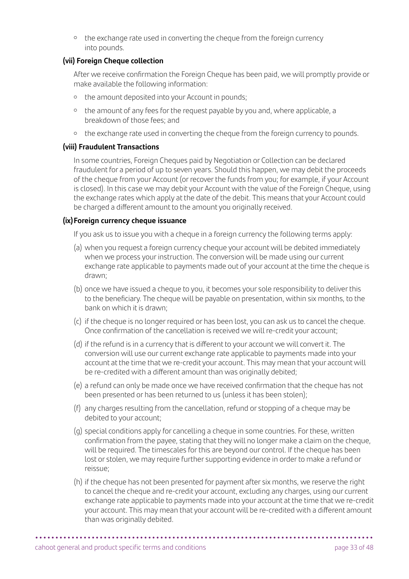<sup>o</sup> the exchange rate used in converting the cheque from the foreign currency into pounds.

#### **(vii) Foreign Cheque collection**

 After we receive confirmation the Foreign Cheque has been paid, we will promptly provide or make available the following information:

- o the amount deposited into your Account in pounds;
- <sup>o</sup> the amount of any fees for the request payable by you and, where applicable, a breakdown of those fees; and
- <sup>o</sup> the exchange rate used in converting the cheque from the foreign currency to pounds.

#### **(viii) Fraudulent Transactions**

 In some countries, Foreign Cheques paid by Negotiation or Collection can be declared fraudulent for a period of up to seven years. Should this happen, we may debit the proceeds of the cheque from your Account (or recover the funds from you; for example, if your Account is closed). In this case we may debit your Account with the value of the Foreign Cheque, using the exchange rates which apply at the date of the debit. This means that your Account could be charged a different amount to the amount you originally received.

#### **(ix)Foreign currency cheque issuance**

If you ask us to issue you with a cheque in a foreign currency the following terms apply:

- (a) when you request a foreign currency cheque your account will be debited immediately when we process your instruction. The conversion will be made using our current exchange rate applicable to payments made out of your account at the time the cheque is drawn;
- (b) once we have issued a cheque to you, it becomes your sole responsibility to deliver this to the beneficiary. The cheque will be payable on presentation, within six months, to the bank on which it is drawn;
- (c) if the cheque is no longer required or has been lost, you can ask us to cancel the cheque. Once confirmation of the cancellation is received we will re-credit your account;
- (d) if the refund is in a currency that is different to your account we will convert it. The conversion will use our current exchange rate applicable to payments made into your account at the time that we re-credit your account. This may mean that your account will be re-credited with a different amount than was originally debited;
- (e) a refund can only be made once we have received confirmation that the cheque has not been presented or has been returned to us (unless it has been stolen);
- (f) any charges resulting from the cancellation, refund or stopping of a cheque may be debited to your account;
- (g) special conditions apply for cancelling a cheque in some countries. For these, written confirmation from the payee, stating that they will no longer make a claim on the cheque, will be required. The timescales for this are beyond our control. If the cheque has been lost or stolen, we may require further supporting evidence in order to make a refund or reissue;
- (h) if the cheque has not been presented for payment after six months, we reserve the right to cancel the cheque and re-credit your account, excluding any charges, using our current exchange rate applicable to payments made into your account at the time that we re-credit your account. This may mean that your account will be re-credited with a different amount than was originally debited.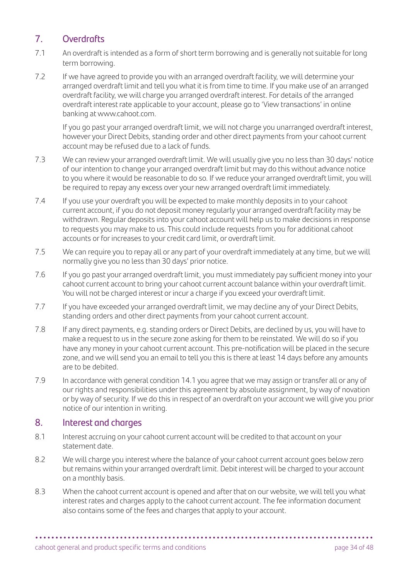# 7. Overdrafts

- 7.1 An overdraft is intended as a form of short term borrowing and is generally not suitable for long term borrowing.
- 7.2 If we have agreed to provide you with an arranged overdraft facility, we will determine your arranged overdraft limit and tell you what it is from time to time. If you make use of an arranged overdraft facility, we will charge you arranged overdraft interest. For details of the arranged overdraft interest rate applicable to your account, please go to 'View transactions' in online banking at [www.cahoot.com.](http://www.cahoot.com)

 If you go past your arranged overdraft limit, we will not charge you unarranged overdraft interest, however your Direct Debits, standing order and other direct payments from your cahoot current account may be refused due to a lack of funds.

- 7.3 We can review your arranged overdraft limit. We will usually give you no less than 30 days' notice of our intention to change your arranged overdraft limit but may do this without advance notice to you where it would be reasonable to do so. If we reduce your arranged overdraft limit, you will be required to repay any excess over your new arranged overdraft limit immediately.
- 7.4 If you use your overdraft you will be expected to make monthly deposits in to your cahoot current account, if you do not deposit money regularly your arranged overdraft facility may be withdrawn. Regular deposits into your cahoot account will help us to make decisions in response to requests you may make to us. This could include requests from you for additional cahoot accounts or for increases to your credit card limit, or overdraft limit.
- 7.5 We can require you to repay all or any part of your overdraft immediately at any time, but we will normally give you no less than 30 days' prior notice.
- 7.6 If you go past your arranged overdraft limit, you must immediately pay sufficient money into your cahoot current account to bring your cahoot current account balance within your overdraft limit. You will not be charged interest or incur a charge if you exceed your overdraft limit.
- 7.7 If you have exceeded your arranged overdraft limit, we may decline any of your Direct Debits, standing orders and other direct payments from your cahoot current account.
- 7.8 If any direct payments, e.g. standing orders or Direct Debits, are declined by us, you will have to make a request to us in the secure zone asking for them to be reinstated. We will do so if you have any money in your cahoot current account. This pre-notification will be placed in the secure zone, and we will send you an email to tell you this is there at least 14 days before any amounts are to be debited.
- 7.9 In accordance with general condition 14.1 you agree that we may assign or transfer all or any of our rights and responsibilities under this agreement by absolute assignment, by way of novation or by way of security. If we do this in respect of an overdraft on your account we will give you prior notice of our intention in writing.

# 8. Interest and charges

- 8.1 Interest accruing on your cahoot current account will be credited to that account on your statement date.
- 8.2 We will charge you interest where the balance of your cahoot current account goes below zero but remains within your arranged overdraft limit. Debit interest will be charged to your account on a monthly basis.
- 8.3 When the cahoot current account is opened and after that on our website, we will tell you what interest rates and charges apply to the cahoot current account. The fee information document also contains some of the fees and charges that apply to your account.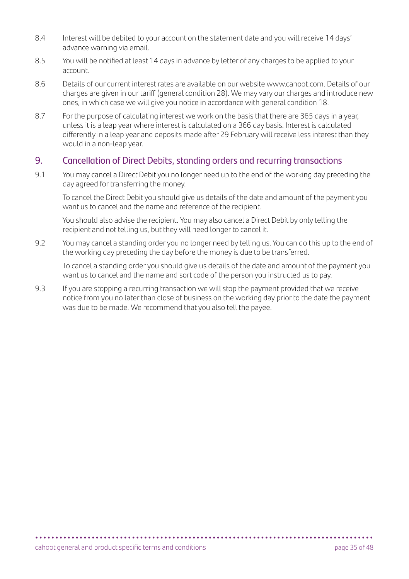- 8.4 Interest will be debited to your account on the statement date and you will receive 14 days' advance warning via email.
- 8.5 You will be notified at least 14 days in advance by letter of any charges to be applied to your account.
- 8.6 Details of our current interest rates are available on our website [www.cahoot.com](http://www.cahoot.com). Details of our charges are given in our tariff (general condition 28). We may vary our charges and introduce new ones, in which case we will give you notice in accordance with general condition 18.
- 8.7 For the purpose of calculating interest we work on the basis that there are 365 days in a year, unless it is a leap year where interest is calculated on a 366 day basis. Interest is calculated differently in a leap year and deposits made after 29 February will receive less interest than they would in a non-leap year.

# 9. Cancellation of Direct Debits, standing orders and recurring transactions

9.1 You may cancel a Direct Debit you no longer need up to the end of the working day preceding the day agreed for transferring the money.

 To cancel the Direct Debit you should give us details of the date and amount of the payment you want us to cancel and the name and reference of the recipient.

 You should also advise the recipient. You may also cancel a Direct Debit by only telling the recipient and not telling us, but they will need longer to cancel it.

9.2 You may cancel a standing order you no longer need by telling us. You can do this up to the end of the working day preceding the day before the money is due to be transferred.

 To cancel a standing order you should give us details of the date and amount of the payment you want us to cancel and the name and sort code of the person you instructed us to pay.

9.3 If you are stopping a recurring transaction we will stop the payment provided that we receive notice from you no later than close of business on the working day prior to the date the payment was due to be made. We recommend that you also tell the payee.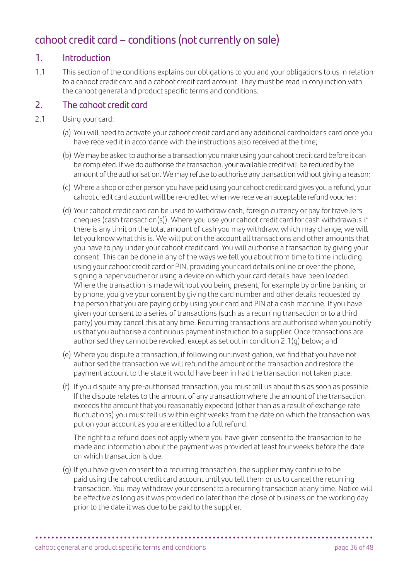# cahoot credit card – conditions (not currently on sale)

# 1. Introduction

1.1 This section of the conditions explains our obligations to you and your obligations to us in relation to a cahoot credit card and a cahoot credit card account. They must be read in conjunction with the cahoot general and product specific terms and conditions.

# 2. The cahoot credit card

- 2.1 Using your card:
	- (a) You will need to activate your cahoot credit card and any additional cardholder's card once you have received it in accordance with the instructions also received at the time;
	- (b) We may be asked to authorise a transaction you make using your cahoot credit card before it can be completed. If we do authorise the transaction, your available credit will be reduced by the amount of the authorisation. We may refuse to authorise any transaction without giving a reason;
	- (c) Where a shop or other person you have paid using your cahoot credit card gives you a refund, your cahoot credit card account will be re-credited when we receive an acceptable refund voucher;
	- (d) Your cahoot credit card can be used to withdraw cash, foreign currency or pay for travellers cheques (cash transaction(s)). Where you use your cahoot credit card for cash withdrawals if there is any limit on the total amount of cash you may withdraw, which may change, we will let you know what this is. We will put on the account all transactions and other amounts that you have to pay under your cahoot credit card. You will authorise a transaction by giving your consent. This can be done in any of the ways we tell you about from time to time including using your cahoot credit card or PIN, providing your card details online or over the phone, signing a paper voucher or using a device on which your card details have been loaded. Where the transaction is made without you being present, for example by online banking or by phone, you give your consent by giving the card number and other details requested by the person that you are paying or by using your card and PIN at a cash machine. If you have given your consent to a series of transactions (such as a recurring transaction or to a third party) you may cancel this at any time. Recurring transactions are authorised when you notify us that you authorise a continuous payment instruction to a supplier. Once transactions are authorised they cannot be revoked, except as set out in condition 2.1(g) below; and
	- (e) Where you dispute a transaction, if following our investigation, we find that you have not authorised the transaction we will refund the amount of the transaction and restore the payment account to the state it would have been in had the transaction not taken place.
	- (f) If you dispute any pre-authorised transaction, you must tell us about this as soon as possible. If the dispute relates to the amount of any transaction where the amount of the transaction exceeds the amount that you reasonably expected (other than as a result of exchange rate fluctuations) you must tell us within eight weeks from the date on which the transaction was put on your account as you are entitled to a full refund.

 The right to a refund does not apply where you have given consent to the transaction to be made and information about the payment was provided at least four weeks before the date on which transaction is due.

(g) If you have given consent to a recurring transaction, the supplier may continue to be paid using the cahoot credit card account until you tell them or us to cancel the recurring transaction. You may withdraw your consent to a recurring transaction at any time. Notice will be effective as long as it was provided no later than the close of business on the working day prior to the date it was due to be paid to the supplier.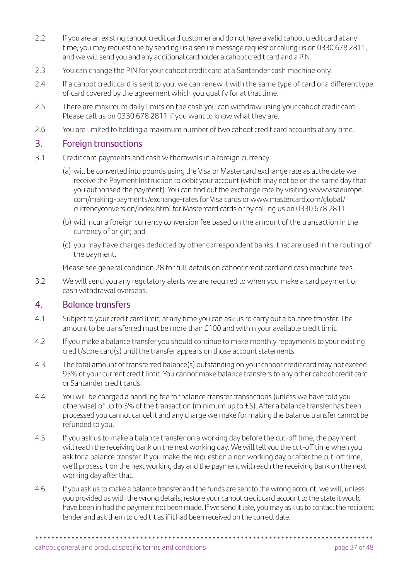- 2.2 If you are an existing cahoot credit card customer and do not have a valid cahoot credit card at any time, you may request one by sending us a secure message request or calling us on 0330 678 2811, and we will send you and any additional cardholder a cahoot credit card and a PIN.
- 2.3 You can change the PIN for your cahoot credit card at a Santander cash machine only.
- 2.4 If a cahoot credit card is sent to you, we can renew it with the same type of card or a different type of card covered by the agreement which you qualify for at that time.
- 2.5 There are maximum daily limits on the cash you can withdraw using your cahoot credit card. Please call us on 0330 678 2811 if you want to know what they are.
- 2.6 You are limited to holding a maximum number of two cahoot credit card accounts at any time.

# 3. Foreign transactions

- 3.1 Credit card payments and cash withdrawals in a foreign currency:
	- (a) will be converted into pounds using the Visa or Mastercard exchange rate as at the date we receive the Payment Instruction to debit your account (which may not be on the same day that you authorised the payment). You can find out the exchange rate by visiting [www.visaeurope.](http://www.visaeurope.com/making-payments/exchange-rates) [com/making-payments/exchange-rates](http://www.visaeurope.com/making-payments/exchange-rates) for Visa cards or [www.mastercard.com/global/](http://www.mastercard.com/global/currencyconversion/index.html) [currencyconversion/index.html](http://www.mastercard.com/global/currencyconversion/index.html) for Mastercard cards or by calling us on 0330 678 2811
	- (b) will incur a foreign currency conversion fee based on the amount of the transaction in the currency of origin; and
	- (c) you may have charges deducted by other correspondent banks. that are used in the routing of the payment.

Please see general condition 28 for full details on cahoot credit card and cash machine fees.

3.2 We will send you any regulatory alerts we are required to when you make a card payment or cash withdrawal overseas.

#### 4. Balance transfers

- 4.1 Subject to your credit card limit, at any time you can ask us to carry out a balance transfer. The amount to be transferred must be more than £100 and within your available credit limit.
- 4.2 If you make a balance transfer you should continue to make monthly repayments to your existing credit/store card(s) until the transfer appears on those account statements.
- 4.3 The total amount of transferred balance(s) outstanding on your cahoot credit card may not exceed 95% of your current credit limit. You cannot make balance transfers to any other cahoot credit card or Santander credit cards.
- 4.4 You will be charged a handling fee for balance transfer transactions (unless we have told you otherwise) of up to 3% of the transaction (minimum up to £5). After a balance transfer has been processed you cannot cancel it and any charge we make for making the balance transfer cannot be refunded to you.
- 4.5 If you ask us to make a balance transfer on a working day before the cut-off time, the payment will reach the receiving bank on the next working day. We will tell you the cut-off time when you ask for a balance transfer. If you make the request on a non working day or after the cut-off time, we'll process it on the next working day and the payment will reach the receiving bank on the next working day after that.
- 4.6 If you ask us to make a balance transfer and the funds are sent to the wrong account, we will, unless you provided us with the wrong details, restore your cahoot credit card account to the state it would have been in had the payment not been made. If we send it late, you may ask us to contact the recipient lender and ask them to credit it as if it had been received on the correct date.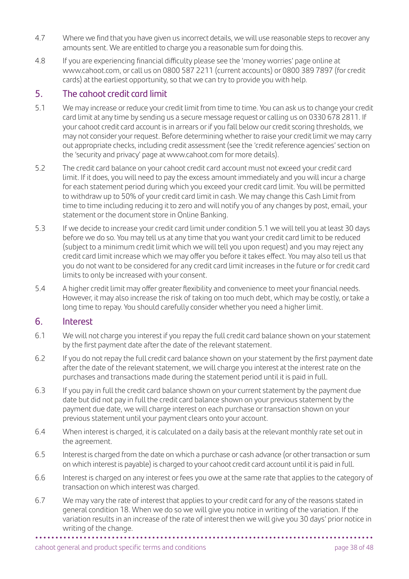- 4.7 Where we find that you have given us incorrect details, we will use reasonable steps to recover any amounts sent. We are entitled to charge you a reasonable sum for doing this.
- 4.8 If you are experiencing financial difficulty please see the 'money worries' page online at [www.cahoot.com,](http://www.cahoot.com) or call us on 0800 587 2211 (current accounts) or 0800 389 7897 (for credit cards) at the earliest opportunity, so that we can try to provide you with help.

# 5. The cahoot credit card limit

- 5.1 We may increase or reduce your credit limit from time to time. You can ask us to change your credit card limit at any time by sending us a secure message request or calling us on 0330 678 2811. If your cahoot credit card account is in arrears or if you fall below our credit scoring thresholds, we may not consider your request. Before determining whether to raise your credit limit we may carry out appropriate checks, including credit assessment (see the 'credit reference agencies' section on the 'security and privacy' page at [www.cahoot.com](http://www.cahoot.com) for more details).
- 5.2 The credit card balance on your cahoot credit card account must not exceed your credit card limit. If it does, you will need to pay the excess amount immediately and you will incur a charge for each statement period during which you exceed your credit card limit. You will be permitted to withdraw up to 50% of your credit card limit in cash. We may change this Cash Limit from time to time including reducing it to zero and will notify you of any changes by post, email, your statement or the document store in Online Banking.
- 5.3 If we decide to increase your credit card limit under condition 5.1 we will tell you at least 30 days before we do so. You may tell us at any time that you want your credit card limit to be reduced (subject to a minimum credit limit which we will tell you upon request) and you may reject any credit card limit increase which we may offer you before it takes effect. You may also tell us that you do not want to be considered for any credit card limit increases in the future or for credit card limits to only be increased with your consent.
- 5.4 A higher credit limit may offer greater flexibility and convenience to meet your financial needs. However, it may also increase the risk of taking on too much debt, which may be costly, or take a long time to repay. You should carefully consider whether you need a higher limit.

# 6. Interest

- 6.1 We will not charge you interest if you repay the full credit card balance shown on your statement by the first payment date after the date of the relevant statement.
- 6.2 If you do not repay the full credit card balance shown on your statement by the first payment date after the date of the relevant statement, we will charge you interest at the interest rate on the purchases and transactions made during the statement period until it is paid in full.
- 6.3 If you pay in full the credit card balance shown on your current statement by the payment due date but did not pay in full the credit card balance shown on your previous statement by the payment due date, we will charge interest on each purchase or transaction shown on your previous statement until your payment clears onto your account.
- 6.4 When interest is charged, it is calculated on a daily basis at the relevant monthly rate set out in the agreement.
- 6.5 Interest is charged from the date on which a purchase or cash advance (or other transaction or sum on which interest is payable) is charged to your cahoot credit card account until it is paid in full.
- 6.6 Interest is charged on any interest or fees you owe at the same rate that applies to the category of transaction on which interest was charged.
- 6.7 We may vary the rate of interest that applies to your credit card for any of the reasons stated in general condition 18. When we do so we will give you notice in writing of the variation. If the variation results in an increase of the rate of interest then we will give you 30 days' prior notice in writing of the change.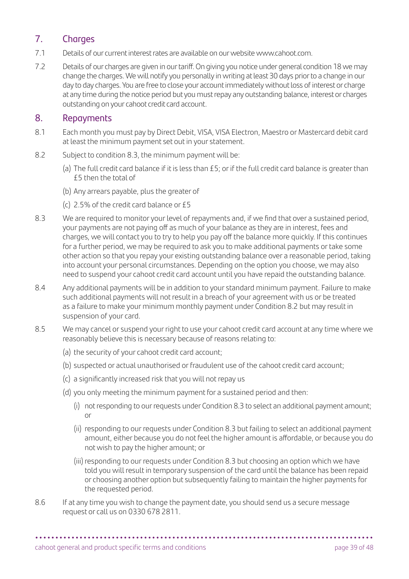# 7. Charges

- 7.1 Details of our current interest rates are available on our website [www.cahoot.com](http://www.cahoot.com).
- 7.2 Details of our charges are given in our tariff. On giving you notice under general condition 18 we may change the charges. We will notify you personally in writing at least 30 days prior to a change in our day to day charges. You are free to close your account immediately without loss of interest or charge at any time during the notice period but you must repay any outstanding balance, interest or charges outstanding on your cahoot credit card account.

# 8. Repayments

- 8.1 Each month you must pay by Direct Debit, VISA, VISA Electron, Maestro or Mastercard debit card at least the minimum payment set out in your statement.
- 8.2 Subject to condition 8.3, the minimum payment will be:
	- (a) The full credit card balance if it is less than £5; or if the full credit card balance is greater than £5 then the total of
	- (b) Any arrears payable, plus the greater of
	- (c) 2.5% of the credit card balance or £5
- 8.3 We are required to monitor your level of repayments and, if we find that over a sustained period, your payments are not paying off as much of your balance as they are in interest, fees and charges, we will contact you to try to help you pay off the balance more quickly. If this continues for a further period, we may be required to ask you to make additional payments or take some other action so that you repay your existing outstanding balance over a reasonable period, taking into account your personal circumstances. Depending on the option you choose, we may also need to suspend your cahoot credit card account until you have repaid the outstanding balance.
- 8.4 Any additional payments will be in addition to your standard minimum payment. Failure to make such additional payments will not result in a breach of your agreement with us or be treated as a failure to make your minimum monthly payment under Condition 8.2 but may result in suspension of your card.
- 8.5 We may cancel or suspend your right to use your cahoot credit card account at any time where we reasonably believe this is necessary because of reasons relating to:
	- (a) the security of your cahoot credit card account;
	- (b) suspected or actual unauthorised or fraudulent use of the cahoot credit card account;
	- (c) a significantly increased risk that you will not repay us
	- (d) you only meeting the minimum payment for a sustained period and then:
		- (i) not responding to our requests under Condition 8.3 to select an additional payment amount; or
		- (ii) responding to our requests under Condition 8.3 but failing to select an additional payment amount, either because you do not feel the higher amount is affordable, or because you do not wish to pay the higher amount; or
		- (iii) responding to our requests under Condition 8.3 but choosing an option which we have told you will result in temporary suspension of the card until the balance has been repaid or choosing another option but subsequently failing to maintain the higher payments for the requested period.
- 8.6 If at any time you wish to change the payment date, you should send us a secure message request or call us on 0330 678 2811.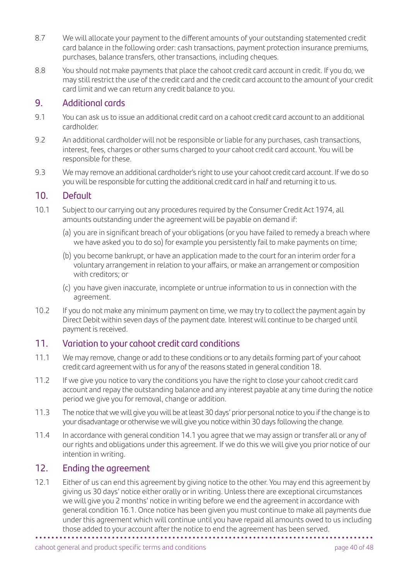- 8.7 We will allocate your payment to the different amounts of your outstanding statemented credit card balance in the following order: cash transactions, payment protection insurance premiums, purchases, balance transfers, other transactions, including cheques.
- 8.8 You should not make payments that place the cahoot credit card account in credit. If you do, we may still restrict the use of the credit card and the credit card account to the amount of your credit card limit and we can return any credit balance to you.

### 9. Additional cards

- 9.1 You can ask us to issue an additional credit card on a cahoot credit card account to an additional cardholder.
- 9.2 An additional cardholder will not be responsible or liable for any purchases, cash transactions, interest, fees, charges or other sums charged to your cahoot credit card account. You will be responsible for these.
- 9.3 We may remove an additional cardholder's right to use your cahoot credit card account. If we do so you will be responsible for cutting the additional credit card in half and returning it to us.

#### 10. Default

- 10.1 Subject to our carrying out any procedures required by the Consumer Credit Act 1974, all amounts outstanding under the agreement will be payable on demand if:
	- (a) you are in significant breach of your obligations (or you have failed to remedy a breach where we have asked you to do so) for example you persistently fail to make payments on time;
	- (b) you become bankrupt, or have an application made to the court for an interim order for a voluntary arrangement in relation to your affairs, or make an arrangement or composition with creditors; or
	- (c) you have given inaccurate, incomplete or untrue information to us in connection with the agreement.
- 10.2 If you do not make any minimum payment on time, we may try to collect the payment again by Direct Debit within seven days of the payment date. Interest will continue to be charged until payment is received.

# 11. Variation to your cahoot credit card conditions

- 11.1 We may remove, change or add to these conditions or to any details forming part of your cahoot credit card agreement with us for any of the reasons stated in general condition 18.
- 11.2 If we give you notice to vary the conditions you have the right to close your cahoot credit card account and repay the outstanding balance and any interest payable at any time during the notice period we give you for removal, change or addition.
- 11.3 The notice that we will give you will be at least 30 days' prior personal notice to you if the change is to your disadvantage or otherwise we will give you notice within 30 days following the change.
- 11.4 In accordance with general condition 14.1 you agree that we may assign or transfer all or any of our rights and obligations under this agreement. If we do this we will give you prior notice of our intention in writing.

# 12. Ending the agreement

**• • • • • • • • • • • • • • • • • • • • • • • • • • • • • • • • • • • • • • • • • • • • • • • • • • • • • • • • • • • • • • • • • • • • • • • • • • • • • • • • • • • •**  12.1 Either of us can end this agreement by giving notice to the other. You may end this agreement by giving us 30 days' notice either orally or in writing. Unless there are exceptional circumstances we will give you 2 months' notice in writing before we end the agreement in accordance with general condition 16.1. Once notice has been given you must continue to make all payments due under this agreement which will continue until you have repaid all amounts owed to us including those added to your account after the notice to end the agreement has been served.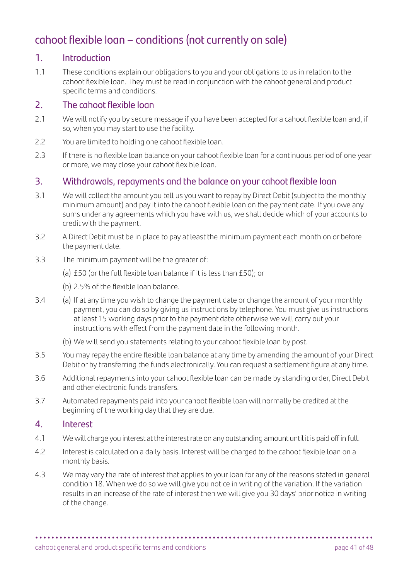# cahoot flexible loan – conditions (not currently on sale)

# 1. Introduction

1.1 These conditions explain our obligations to you and your obligations to us in relation to the cahoot flexible loan. They must be read in conjunction with the cahoot general and product specific terms and conditions.

# 2. The cahoot flexible loan

- 2.1 We will notify you by secure message if you have been accepted for a cahoot flexible loan and. if so, when you may start to use the facility.
- 2.2 You are limited to holding one cahoot flexible loan.
- 2.3 If there is no flexible loan balance on your cahoot flexible loan for a continuous period of one year or more, we may close your cahoot flexible loan.

# 3. Withdrawals, repayments and the balance on your cahoot flexible loan

- 3.1 We will collect the amount you tell us you want to repay by Direct Debit (subject to the monthly minimum amount) and pay it into the cahoot flexible loan on the payment date. If you owe any sums under any agreements which you have with us, we shall decide which of your accounts to credit with the payment.
- 3.2 A Direct Debit must be in place to pay at least the minimum payment each month on or before the payment date.
- 3.3 The minimum payment will be the greater of:
	- (a) £50 (or the full flexible loan balance if it is less than £50); or
	- (b) 2.5% of the flexible loan balance.
- 3.4 (a) If at any time you wish to change the payment date or change the amount of your monthly payment, you can do so by giving us instructions by telephone. You must give us instructions at least 15 working days prior to the payment date otherwise we will carry out your instructions with effect from the payment date in the following month.
	- (b) We will send you statements relating to your cahoot flexible loan by post.
- 3.5 You may repay the entire flexible loan balance at any time by amending the amount of your Direct Debit or by transferring the funds electronically. You can request a settlement figure at any time.
- 3.6 Additional repayments into your cahoot flexible loan can be made by standing order, Direct Debit and other electronic funds transfers.
- 3.7 Automated repayments paid into your cahoot flexible loan will normally be credited at the beginning of the working day that they are due.

#### 4. Interest

- 4.1 We will charge you interest at the interest rate on any outstanding amount until it is paid off in full.
- 4.2 Interest is calculated on a daily basis. Interest will be charged to the cahoot flexible loan on a monthly basis.
- 4.3 We may vary the rate of interest that applies to your loan for any of the reasons stated in general condition 18. When we do so we will give you notice in writing of the variation. If the variation results in an increase of the rate of interest then we will give you 30 days' prior notice in writing of the change.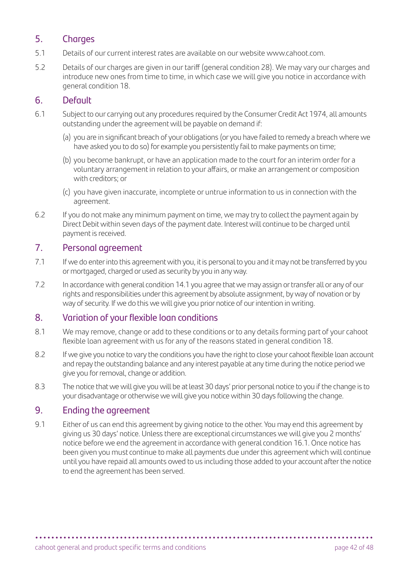# 5. Charges

- 5.1 Details of our current interest rates are available on our website [www.cahoot.com](http://www.cahoot.com).
- 5.2 Details of our charges are given in our tariff (general condition 28). We may vary our charges and introduce new ones from time to time, in which case we will give you notice in accordance with general condition 18.

# 6. Default

- 6.1 Subject to our carrying out any procedures required by the Consumer Credit Act 1974, all amounts outstanding under the agreement will be payable on demand if:
	- (a) you are in significant breach of your obligations (or you have failed to remedy a breach where we have asked you to do so) for example you persistently fail to make payments on time;
	- (b) you become bankrupt, or have an application made to the court for an interim order for a voluntary arrangement in relation to your affairs, or make an arrangement or composition with creditors; or
	- (c) you have given inaccurate, incomplete or untrue information to us in connection with the agreement.
- 6.2 If you do not make any minimum payment on time, we may try to collect the payment again by Direct Debit within seven days of the payment date. Interest will continue to be charged until payment is received.

# 7. Personal agreement

- 7.1 If we do enter into this agreement with you, it is personal to you and it may not be transferred by you or mortgaged, charged or used as security by you in any way.
- 7.2 In accordance with general condition 14.1 you agree that we may assign or transfer all or any of our rights and responsibilities under this agreement by absolute assignment, by way of novation or by way of security. If we do this we will give you prior notice of our intention in writing.

# 8. Variation of your flexible loan conditions

- 8.1 We may remove, change or add to these conditions or to any details forming part of your cahoot flexible loan agreement with us for any of the reasons stated in general condition 18.
- 8.2 If we give you notice to vary the conditions you have the right to close your cahoot flexible loan account and repay the outstanding balance and any interest payable at any time during the notice period we give you for removal, change or addition.
- 8.3 The notice that we will give you will be at least 30 days' prior personal notice to you if the change is to your disadvantage or otherwise we will give you notice within 30 days following the change.

# 9. Ending the agreement

9.1 Either of us can end this agreement by giving notice to the other. You may end this agreement by giving us 30 days' notice. Unless there are exceptional circumstances we will give you 2 months' notice before we end the agreement in accordance with general condition 16.1. Once notice has been given you must continue to make all payments due under this agreement which will continue until you have repaid all amounts owed to us including those added to your account after the notice to end the agreement has been served.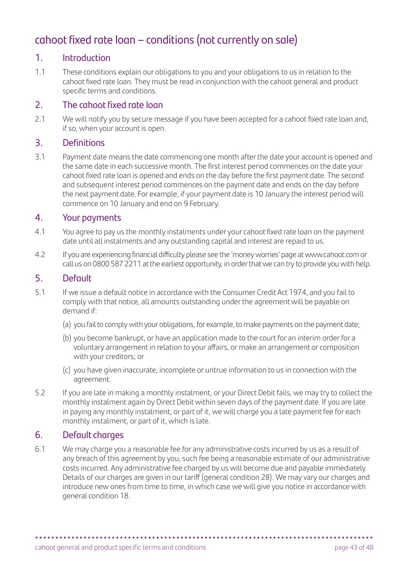# cahoot fixed rate loan – conditions (not currently on sale)

# 1. Introduction

1.1 These conditions explain our obligations to you and your obligations to us in relation to the cahoot fixed rate loan. They must be read in conjunction with the cahoot general and product specific terms and conditions.

# 2. The cahoot fixed rate loan

2.1 We will notify you by secure message if you have been accepted for a cahoot fixed rate loan and, if so, when your account is open.

# 3. Definitions

3.1 Payment date means the date commencing one month after the date your account is opened and the same date in each successive month. The first interest period commences on the date your cahoot fixed rate loan is opened and ends on the day before the first payment date. The second and subsequent interest period commences on the payment date and ends on the day before the next payment date. For example, if your payment date is 10 January the interest period will commence on 10 January and end on 9 February.

#### 4. Your payments

- 4.1 You agree to pay us the monthly instalments under your cahoot fixed rate loan on the payment date until all instalments and any outstanding capital and interest are repaid to us.
- 4.2 If you are experiencing financial difficulty please see the 'money worries' page at [www.cahoot.com](http://www.cahoot.com) or call us on 0800 587 2211 at the earliest opportunity, in order that we can try to provide you with help.

#### 5. Default

- 5.1 If we issue a default notice in accordance with the Consumer Credit Act 1974, and you fail to comply with that notice, all amounts outstanding under the agreement will be payable on demand if:
	- (a) you fail to comply with your obligations, for example, to make payments on the payment date;
	- (b) you become bankrupt, or have an application made to the court for an interim order for a voluntary arrangement in relation to your affairs, or make an arrangement or composition with your creditors; or
	- (c) you have given inaccurate, incomplete or untrue information to us in connection with the agreement.
- 5.2 If you are late in making a monthly instalment, or your Direct Debit fails, we may try to collect the monthly instalment again by Direct Debit within seven days of the payment date. If you are late in paying any monthly instalment, or part of it, we will charge you a late payment fee for each monthly instalment, or part of it, which is late.

# 6. Default charges

6.1 We may charge you a reasonable fee for any administrative costs incurred by us as a result of any breach of this agreement by you, such fee being a reasonable estimate of our administrative costs incurred. Any administrative fee charged by us will become due and payable immediately. Details of our charges are given in our tariff (general condition 28). We may vary our charges and introduce new ones from time to time, in which case we will give you notice in accordance with general condition 18.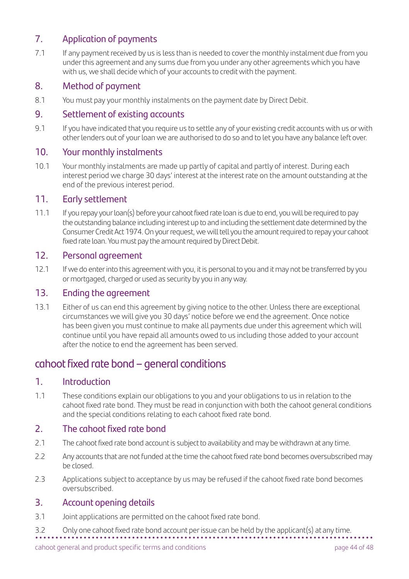# 7. Application of payments

7.1 If any payment received by us is less than is needed to cover the monthly instalment due from you under this agreement and any sums due from you under any other agreements which you have with us, we shall decide which of your accounts to credit with the payment.

# 8. Method of payment

8.1 You must pay your monthly instalments on the payment date by Direct Debit.

#### 9. Settlement of existing accounts

9.1 If you have indicated that you require us to settle any of your existing credit accounts with us or with other lenders out of your loan we are authorised to do so and to let you have any balance left over.

#### 10. Your monthly instalments

10.1 Your monthly instalments are made up partly of capital and partly of interest. During each interest period we charge 30 days' interest at the interest rate on the amount outstanding at the end of the previous interest period.

# 11. Early settlement

11.1 If you repay your loan(s) before your cahoot fixed rate loan is due to end, you will be required to pay the outstanding balance including interest up to and including the settlement date determined by the Consumer Credit Act 1974. On your request, we will tell you the amount required to repay your cahoot fixed rate loan. You must pay the amount required by Direct Debit.

## 12. Personal agreement

12.1 If we do enter into this agreement with you, it is personal to you and it may not be transferred by you or mortgaged, charged or used as security by you in any way.

# 13. Ending the agreement

13.1 Either of us can end this agreement by giving notice to the other. Unless there are exceptional circumstances we will give you 30 days' notice before we end the agreement. Once notice has been given you must continue to make all payments due under this agreement which will continue until you have repaid all amounts owed to us including those added to your account after the notice to end the agreement has been served.

# cahoot fixed rate bond – general conditions

#### 1. Introduction

1.1 These conditions explain our obligations to you and your obligations to us in relation to the cahoot fixed rate bond. They must be read in conjunction with both the cahoot general conditions and the special conditions relating to each cahoot fixed rate bond.

# 2. The cahoot fixed rate bond

- 2.1 The cahoot fixed rate bond account is subject to availability and may be withdrawn at any time.
- 2.2 Any accounts that are not funded at the time the cahoot fixed rate bond becomes oversubscribed may be closed.
- 2.3 Applications subject to acceptance by us may be refused if the cahoot fixed rate bond becomes oversubscribed.

# 3. Account opening details

3.1 Joint applications are permitted on the cahoot fixed rate bond.

**• • • • • • • • • • • • • • • • • • • • • • • • • • • • • • • • • • • • • • • • • • • • • • • • • • • • • • • • • • • • • • • • • • • • • • • • • • • • • • • • • • • •** 

3.2 Only one cahoot fixed rate bond account per issue can be held by the applicant(s) at any time.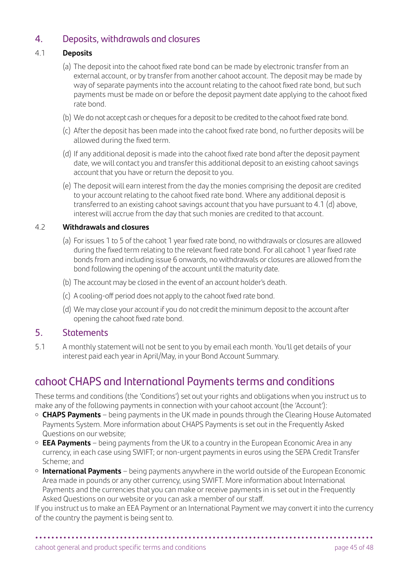# 4. Deposits, withdrawals and closures

#### 4.1 **Deposits**

- (a) The deposit into the cahoot fixed rate bond can be made by electronic transfer from an external account, or by transfer from another cahoot account. The deposit may be made by way of separate payments into the account relating to the cahoot fixed rate bond, but such payments must be made on or before the deposit payment date applying to the cahoot fixed rate bond.
- (b) We do not accept cash or cheques for a deposit to be credited to the cahoot fixed rate bond.
- (c) After the deposit has been made into the cahoot fixed rate bond, no further deposits will be allowed during the fixed term.
- (d) If any additional deposit is made into the cahoot fixed rate bond after the deposit payment date, we will contact you and transfer this additional deposit to an existing cahoot savings account that you have or return the deposit to you.
- (e) The deposit will earn interest from the day the monies comprising the deposit are credited to your account relating to the cahoot fixed rate bond. Where any additional deposit is transferred to an existing cahoot savings account that you have pursuant to 4.1 (d) above, interest will accrue from the day that such monies are credited to that account.

#### 4.2 **Withdrawals and closures**

- (a) For issues 1 to 5 of the cahoot 1 year fixed rate bond, no withdrawals or closures are allowed during the fixed term relating to the relevant fixed rate bond. For all cahoot 1 year fixed rate bonds from and including issue 6 onwards, no withdrawals or closures are allowed from the bond following the opening of the account until the maturity date.
- (b) The account may be closed in the event of an account holder's death.
- (c) A cooling-off period does not apply to the cahoot fixed rate bond.
- (d) We may close your account if you do not credit the minimum deposit to the account after opening the cahoot fixed rate bond.

#### 5. Statements

5.1 A monthly statement will not be sent to you by email each month. You'll get details of your interest paid each year in April/May, in your Bond Account Summary.

# cahoot CHAPS and International Payments terms and conditions

These terms and conditions (the 'Conditions') set out your rights and obligations when you instruct us to make any of the following payments in connection with your cahoot account (the 'Account'):

- **CHAPS Payments** being payments in the UK made in pounds through the Clearing House Automated Payments System. More information about CHAPS Payments is set out in the Frequently Asked Questions on our website;
- **EEA Payments** being payments from the UK to a country in the European Economic Area in any currency, in each case using SWIFT; or non-urgent payments in euros using the SEPA Credit Transfer Scheme; and
- **International Payments** being payments anywhere in the world outside of the European Economic Area made in pounds or any other currency, using SWIFT. More information about International Payments and the currencies that you can make or receive payments in is set out in the Frequently Asked Questions on our website or you can ask a member of our staff.

If you instruct us to make an EEA Payment or an International Payment we may convert it into the currency of the country the payment is being sent to.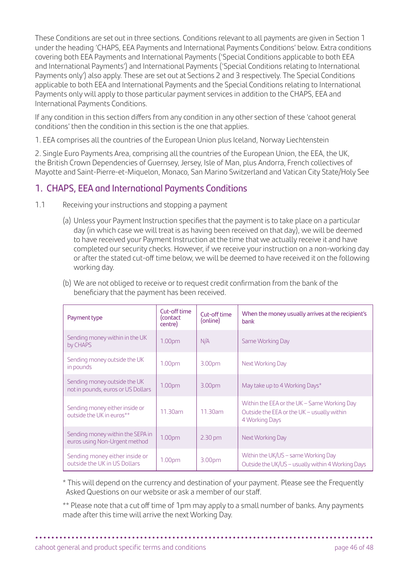These Conditions are set out in three sections. Conditions relevant to all payments are given in Section 1 under the heading 'CHAPS, EEA Payments and International Payments Conditions' below. Extra conditions covering both EEA Payments and International Payments ('Special Conditions applicable to both EEA and International Payments') and International Payments ('Special Conditions relating to International Payments only') also apply. These are set out at Sections 2 and 3 respectively. The Special Conditions applicable to both EEA and International Payments and the Special Conditions relating to International Payments only will apply to those particular payment services in addition to the CHAPS, EEA and International Payments Conditions.

If any condition in this section differs from any condition in any other section of these 'cahoot general conditions' then the condition in this section is the one that applies.

1. EEA comprises all the countries of the European Union plus Iceland, Norway Liechtenstein

2. Single Euro Payments Area, comprising all the countries of the European Union, the EEA, the UK, the British Crown Dependencies of Guernsey, Jersey, Isle of Man, plus Andorra, French collectives of Mayotte and Saint-Pierre-et-Miquelon, Monaco, San Marino Switzerland and Vatican City State/Holy See

# 1. CHAPS, EEA and International Payments Conditions

- 1.1 Receiving your instructions and stopping a payment
	- (a) Unless your Payment Instruction specifies that the payment is to take place on a particular day (in which case we will treat is as having been received on that day), we will be deemed to have received your Payment Instruction at the time that we actually receive it and have completed our security checks. However, if we receive your instruction on a non-working day or after the stated cut-off time below, we will be deemed to have received it on the following working day.
	- (b) We are not obliged to receive or to request credit confirmation from the bank of the beneficiary that the payment has been received.

| Payment type                                                       | Cut-off time<br>(contact<br>centre) | Cut-off time<br>(online) | When the money usually arrives at the recipient's<br>bank                                                   |
|--------------------------------------------------------------------|-------------------------------------|--------------------------|-------------------------------------------------------------------------------------------------------------|
| Sending money within in the UK<br>by CHAPS                         | 1.00 <sub>pm</sub>                  | N/A                      | Same Working Day                                                                                            |
| Sending money outside the UK<br>in pounds                          | 1.00 <sub>pm</sub>                  | 3.00pm                   | Next Working Day                                                                                            |
| Sending money outside the UK<br>not in pounds, euros or US Dollars | 1.00pm                              | 3.00pm                   | May take up to 4 Working Days*                                                                              |
| Sending money either inside or<br>outside the UK in euros**        | 11.30am                             | 11.30am                  | Within the EEA or the UK - Same Working Day<br>Outside the EEA or the UK - usually within<br>4 Working Days |
| Sending money within the SEPA in<br>euros using Non-Urgent method  | 1.00 <sub>pm</sub>                  | $2.30 \text{ pm}$        | Next Working Day                                                                                            |
| Sending money either inside or<br>outside the UK in US Dollars     | 1.00 <sub>pm</sub>                  | 3.00pm                   | Within the UK/US - same Working Day<br>Outside the UK/US - usually within 4 Working Days                    |

\* This will depend on the currency and destination of your payment. Please see the Frequently Asked Questions on our website or ask a member of our staff.

 \*\* Please note that a cut off time of 1pm may apply to a small number of banks. Any payments made after this time will arrive the next Working Day.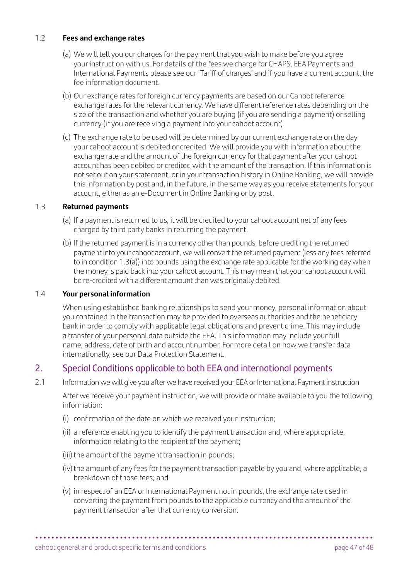#### 1.2 **Fees and exchange rates**

- (a) We will tell you our charges for the payment that you wish to make before you agree your instruction with us. For details of the fees we charge for CHAPS, EEA Payments and International Payments please see our 'Tariff of charges' and if you have a current account, the fee information document.
- (b) Our exchange rates for foreign currency payments are based on our Cahoot reference exchange rates for the relevant currency. We have different reference rates depending on the size of the transaction and whether you are buying (if you are sending a payment) or selling currency (if you are receiving a payment into your cahoot account).
- (c) The exchange rate to be used will be determined by our current exchange rate on the day your cahoot account is debited or credited. We will provide you with information about the exchange rate and the amount of the foreign currency for that payment after your cahoot account has been debited or credited with the amount of the transaction. If this information is not set out on your statement, or in your transaction history in Online Banking, we will provide this information by post and, in the future, in the same way as you receive statements for your account, either as an e-Document in Online Banking or by post.

#### 1.3 **Returned payments**

- (a) If a payment is returned to us, it will be credited to your cahoot account net of any fees charged by third party banks in returning the payment.
- (b) If the returned payment is in a currency other than pounds, before crediting the returned payment into your cahoot account, we will convert the returned payment (less any fees referred to in condition 1.3(a)) into pounds using the exchange rate applicable for the working day when the money is paid back into your cahoot account. This may mean that your cahoot account will be re-credited with a different amount than was originally debited.

#### 1.4 **Your personal information**

 When using established banking relationships to send your money, personal information about you contained in the transaction may be provided to overseas authorities and the beneficiary bank in order to comply with applicable legal obligations and prevent crime. This may include a transfer of your personal data outside the EEA. This information may include your full name, address, date of birth and account number. For more detail on how we transfer data internationally, see our Data Protection Statement.

# 2. Special Conditions applicable to both EEA and international payments

2.1 Information we will give you after we have received your EEA or International Payment instruction

 After we receive your payment instruction, we will provide or make available to you the following information:

- (i) confirmation of the date on which we received your instruction;
- (ii) a reference enabling you to identify the payment transaction and, where appropriate, information relating to the recipient of the payment;
- (iii) the amount of the payment transaction in pounds;
- (iv) the amount of any fees for the payment transaction payable by you and, where applicable, a breakdown of those fees; and
- (v) in respect of an EEA or International Payment not in pounds, the exchange rate used in converting the payment from pounds to the applicable currency and the amount of the payment transaction after that currency conversion.